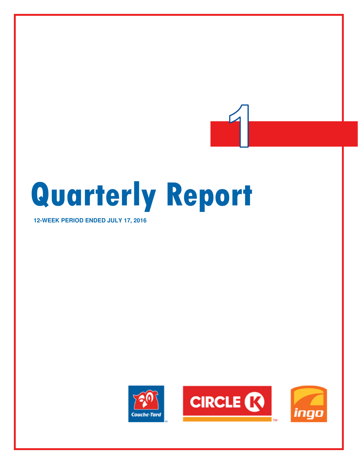# Quarterly Report

**12-WEEK PERIOD ENDED JULY 17, 2016** 





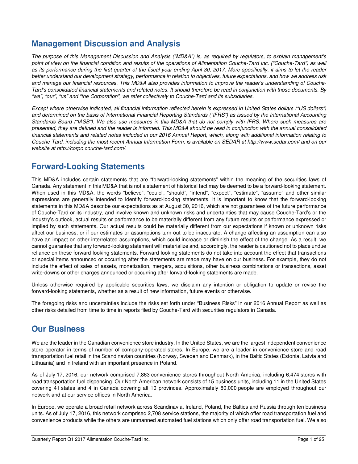# **Management Discussion and Analysis**

The purpose of this Management Discussion and Analysis ("MD&A") is, as required by regulators, to explain management's point of view on the financial condition and results of the operations of Alimentation Couche-Tard Inc. ("Couche-Tard") as well as its performance during the first quarter of the fiscal year ending April 30, 2017. More specifically, it aims to let the reader better understand our development strategy, performance in relation to objectives, future expectations, and how we address risk and manage our financial resources. This MD&A also provides information to improve the reader's understanding of Couche-Tard's consolidated financial statements and related notes. It should therefore be read in conjunction with those documents. By "we", "our", "us" and "the Corporation", we refer collectively to Couche-Tard and its subsidiaries.

Except where otherwise indicated, all financial information reflected herein is expressed in United States dollars ("US dollars") and determined on the basis of International Financial Reporting Standards ("IFRS") as issued by the International Accounting Standards Board ("IASB"). We also use measures in this MD&A that do not comply with IFRS. Where such measures are presented, they are defined and the reader is informed. This MD&A should be read in conjunction with the annual consolidated financial statements and related notes included in our 2016 Annual Report, which, along with additional information relating to Couche-Tard, including the most recent Annual Information Form, is available on SEDAR at http://www.sedar.com/ and on our website at http://corpo.couche-tard.com/.

# **Forward-Looking Statements**

This MD&A includes certain statements that are "forward-looking statements" within the meaning of the securities laws of Canada. Any statement in this MD&A that is not a statement of historical fact may be deemed to be a forward-looking statement. When used in this MD&A, the words "believe", "could", "should", "intend", "expect", "estimate", "assume" and other similar expressions are generally intended to identify forward-looking statements. It is important to know that the forward-looking statements in this MD&A describe our expectations as at August 30, 2016, which are not guarantees of the future performance of Couche-Tard or its industry, and involve known and unknown risks and uncertainties that may cause Couche-Tard's or the industry's outlook, actual results or performance to be materially different from any future results or performance expressed or implied by such statements. Our actual results could be materially different from our expectations if known or unknown risks affect our business, or if our estimates or assumptions turn out to be inaccurate. A change affecting an assumption can also have an impact on other interrelated assumptions, which could increase or diminish the effect of the change. As a result, we cannot guarantee that any forward-looking statement will materialize and, accordingly, the reader is cautioned not to place undue reliance on these forward-looking statements. Forward-looking statements do not take into account the effect that transactions or special items announced or occurring after the statements are made may have on our business. For example, they do not include the effect of sales of assets, monetization, mergers, acquisitions, other business combinations or transactions, asset write-downs or other charges announced or occurring after forward-looking statements are made.

Unless otherwise required by applicable securities laws, we disclaim any intention or obligation to update or revise the forward-looking statements, whether as a result of new information, future events or otherwise.

The foregoing risks and uncertainties include the risks set forth under "Business Risks" in our 2016 Annual Report as well as other risks detailed from time to time in reports filed by Couche-Tard with securities regulators in Canada.

# **Our Business**

We are the leader in the Canadian convenience store industry. In the United States, we are the largest independent convenience store operator in terms of number of company-operated stores. In Europe, we are a leader in convenience store and road transportation fuel retail in the Scandinavian countries (Norway, Sweden and Denmark), in the Baltic States (Estonia, Latvia and Lithuania) and in Ireland with an important presence in Poland.

As of July 17, 2016, our network comprised 7,863 convenience stores throughout North America, including 6,474 stores with road transportation fuel dispensing. Our North American network consists of 15 business units, including 11 in the United States covering 41 states and 4 in Canada covering all 10 provinces. Approximately 80,000 people are employed throughout our network and at our service offices in North America.

In Europe, we operate a broad retail network across Scandinavia, Ireland, Poland, the Baltics and Russia through ten business units. As of July 17, 2016, this network comprised 2,708 service stations, the majority of which offer road transportation fuel and convenience products while the others are unmanned automated fuel stations which only offer road transportation fuel. We also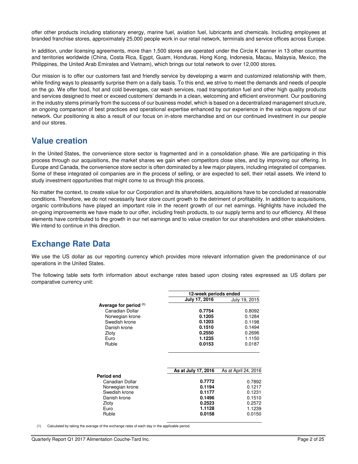offer other products including stationary energy, marine fuel, aviation fuel, lubricants and chemicals. Including employees at branded franchise stores, approximately 25,000 people work in our retail network, terminals and service offices across Europe.

In addition, under licensing agreements, more than 1,500 stores are operated under the Circle K banner in 13 other countries and territories worldwide (China, Costa Rica, Egypt, Guam, Honduras, Hong Kong, Indonesia, Macau, Malaysia, Mexico, the Philippines, the United Arab Emirates and Vietnam), which brings our total network to over 12,000 stores.

Our mission is to offer our customers fast and friendly service by developing a warm and customized relationship with them, while finding ways to pleasantly surprise them on a daily basis. To this end, we strive to meet the demands and needs of people on the go. We offer food, hot and cold beverages, car wash services, road transportation fuel and other high quality products and services designed to meet or exceed customers' demands in a clean, welcoming and efficient environment. Our positioning in the industry stems primarily from the success of our business model, which is based on a decentralized management structure, an ongoing comparison of best practices and operational expertise enhanced by our experience in the various regions of our network. Our positioning is also a result of our focus on in-store merchandise and on our continued investment in our people and our stores.

# **Value creation**

In the United States, the convenience store sector is fragmented and in a consolidation phase. We are participating in this process through our acquisitions, the market shares we gain when competitors close sites, and by improving our offering. In Europe and Canada, the convenience store sector is often dominated by a few major players, including integrated oil companies. Some of these integrated oil companies are in the process of selling, or are expected to sell, their retail assets. We intend to study investment opportunities that might come to us through this process.

No matter the context, to create value for our Corporation and its shareholders, acquisitions have to be concluded at reasonable conditions. Therefore, we do not necessarily favor store count growth to the detriment of profitability. In addition to acquisitions, organic contributions have played an important role in the recent growth of our net earnings. Highlights have included the on-going improvements we have made to our offer, including fresh products, to our supply terms and to our efficiency. All these elements have contributed to the growth in our net earnings and to value creation for our shareholders and other stakeholders. We intend to continue in this direction.

# **Exchange Rate Data**

We use the US dollar as our reporting currency which provides more relevant information given the predominance of our operations in the United States.

The following table sets forth information about exchange rates based upon closing rates expressed as US dollars per comparative currency unit:

|                        | 12-week periods ended |               |  |  |
|------------------------|-----------------------|---------------|--|--|
|                        | July 17, 2016         | July 19, 2015 |  |  |
| Average for period (1) |                       |               |  |  |
| Canadian Dollar        | 0.7754                | 0.8092        |  |  |
| Norwegian krone        | 0.1205                | 0.1284        |  |  |
| Swedish krone          | 0.1203                | 0.1198        |  |  |
| Danish krone           | 0.1510                | 0.1494        |  |  |
| Zloty                  | 0.2550                | 0.2696        |  |  |
| Euro                   | 1.1235                | 1.1150        |  |  |
| Ruble                  | 0.0153                | 0.0187        |  |  |
|                        |                       |               |  |  |

|                 | As at July 17, 2016 | As at April 24, 2016 |
|-----------------|---------------------|----------------------|
| Period end      |                     |                      |
| Canadian Dollar | 0.7772              | 0.7892               |
| Norwegian krone | 0.1194              | 0.1217               |
| Swedish krone   | 0.1177              | 0.1231               |
| Danish krone    | 0.1496              | 0.1510               |
| Zloty           | 0.2523              | 0.2572               |
| Euro            | 1.1128              | 1.1239               |
| Ruble           | 0.0158              | 0.0150               |
|                 |                     |                      |

(1) Calculated by taking the average of the exchange rates of each day in the applicable period.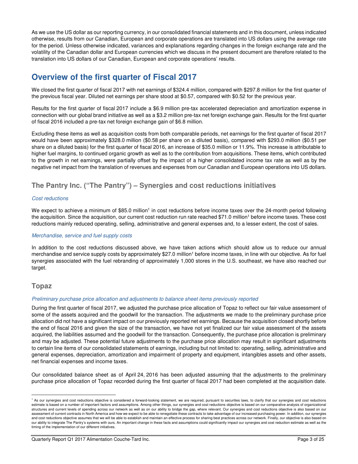As we use the US dollar as our reporting currency, in our consolidated financial statements and in this document, unless indicated otherwise, results from our Canadian, European and corporate operations are translated into US dollars using the average rate for the period. Unless otherwise indicated, variances and explanations regarding changes in the foreign exchange rate and the volatility of the Canadian dollar and European currencies which we discuss in the present document are therefore related to the translation into US dollars of our Canadian, European and corporate operations' results.

# **Overview of the first quarter of Fiscal 2017**

We closed the first quarter of fiscal 2017 with net earnings of \$324.4 million, compared with \$297.8 million for the first quarter of the previous fiscal year. Diluted net earnings per share stood at \$0.57, compared with \$0.52 for the previous year.

Results for the first quarter of fiscal 2017 include a \$6.9 million pre-tax accelerated depreciation and amortization expense in connection with our global brand initiative as well as a \$3.2 million pre-tax net foreign exchange gain. Results for the first quarter of fiscal 2016 included a pre-tax net foreign exchange gain of \$6.8 million.

Excluding these items as well as acquisition costs from both comparable periods, net earnings for the first quarter of fiscal 2017 would have been approximately \$328.0 million (\$0.58 per share on a diluted basis), compared with \$293.0 million (\$0.51 per share on a diluted basis) for the first quarter of fiscal 2016, an increase of \$35.0 million or 11.9%. This increase is attributable to higher fuel margins, to continued organic growth as well as to the contribution from acquisitions. These items, which contributed to the growth in net earnings, were partially offset by the impact of a higher consolidated income tax rate as well as by the negative net impact from the translation of revenues and expenses from our Canadian and European operations into US dollars.

# **The Pantry Inc. ("The Pantry") – Synergies and cost reductions initiatives**

## Cost reductions

We expect to achieve a minimum of \$85.0 million<sup>1</sup> in cost reductions before income taxes over the 24-month period following the acquisition. Since the acquisition, our current cost reduction run rate reached \$71.0 million<sup>1</sup> before income taxes. These cost reductions mainly reduced operating, selling, administrative and general expenses and, to a lesser extent, the cost of sales.

## Merchandise, service and fuel supply costs

In addition to the cost reductions discussed above, we have taken actions which should allow us to reduce our annual merchandise and service supply costs by approximately \$27.0 million<sup>1</sup> before income taxes, in line with our objective. As for fuel synergies associated with the fuel rebranding of approximately 1,000 stores in the U.S. southeast, we have also reached our target.

# **Topaz**

 $\overline{a}$ 

## Preliminary purchase price allocation and adjustments to balance sheet items previously reported

During the first quarter of fiscal 2017, we adjusted the purchase price allocation of Topaz to reflect our fair value assessment of some of the assets acquired and the goodwill for the transaction. The adjustments we made to the preliminary purchase price allocation did not have a significant impact on our previously reported net earnings. Because the acquisition closed shortly before the end of fiscal 2016 and given the size of the transaction, we have not yet finalized our fair value assessment of the assets acquired, the liabilities assumed and the goodwill for the transaction. Consequently, the purchase price allocation is preliminary and may be adjusted. These potential future adjustments to the purchase price allocation may result in significant adjustments to certain line items of our consolidated statements of earnings, including but not limited to: operating, selling, administrative and general expenses, depreciation, amortization and impairment of property and equipment, intangibles assets and other assets, net financial expenses and income taxes.

Our consolidated balance sheet as of April 24, 2016 has been adjusted assuming that the adjustments to the preliminary purchase price allocation of Topaz recorded during the first quarter of fiscal 2017 had been completed at the acquisition date.

<sup>&</sup>lt;sup>1</sup> As our synergies and cost reductions objective is considered a forward-looking statement, we are required, pursuant to securities laws, to clarify that our synergies and cost reductions estimate is based on a number of important factors and assumptions. Among other things, our synergies and cost reductions objective is based on our comparative analysis of organizational structures and current levels of spending across our network as well as on our ability to bridge the gap, where relevant. Our synergies and cost reductions objective is also based on our assessment of current contracts in North America and how we expect to be able to renegotiate these contracts to take advantage of our increased purchasing power. In addition, our synergies and cost reductions objective assumes that we will be able to establish and maintain an effective process for sharing best practices across our network. Finally, our objective is also based on our ability to integrate The Pantry's systems with ours. An important change in these facts and assumptions could significantly impact our synergies and cost reduction estimate as well as the timing of the implementation of our different initiatives.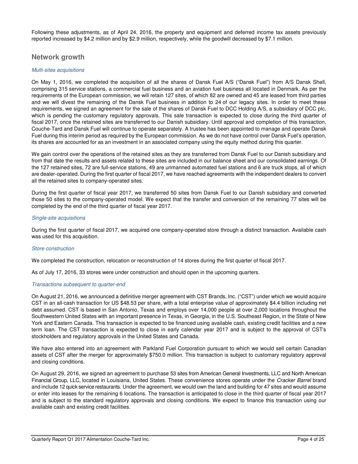Following these adjustments, as of April 24, 2016, the property and equipment and deferred income tax assets previously reported increased by \$4.2 million and by \$2.9 million, respectively, while the goodwill decreased by \$7.1 million.

# **Network growth**

## Multi-sites acquisitions

On May 1, 2016, we completed the acquisition of all the shares of Dansk Fuel A/S ("Dansk Fuel") from A/S Dansk Shell, comprising 315 service stations, a commercial fuel business and an aviation fuel business all located in Denmark. As per the requirements of the European commission, we will retain 127 sites, of which 82 are owned and 45 are leased from third parties and we will divest the remaining of the Dansk Fuel business in addition to 24 of our legacy sites. In order to meet these requirements, we signed an agreement for the sale of the shares of Dansk Fuel to DCC Holding A/S, a subsidiary of DCC plc, which is pending the customary regulatory approvals. This sale transaction is expected to close during the third quarter of fiscal 2017, once the retained sites are transferred to our Danish subsidiary. Until approval and completion of this transaction, Couche-Tard and Dansk Fuel will continue to operate separately. A trustee has been appointed to manage and operate Dansk Fuel during this interim period as required by the European commission. As we do not have control over Dansk Fuel's operation, its shares are accounted for as an investment in an associated company using the equity method during this quarter.

We gain control over the operations of the retained sites as they are transferred from Dansk Fuel to our Danish subsidiary and from that date the results and assets related to these sites are included in our balance sheet and our consolidated earnings. Of the 127 retained sites, 72 are full-service stations, 49 are unmanned automated fuel stations and 6 are truck stops, all of which are dealer-operated. During the first quarter of fiscal 2017, we have reached agreements with the independent dealers to convert all the retained sites to company-operated sites.

During the first quarter of fiscal year 2017, we transferred 50 sites from Dansk Fuel to our Danish subsidiary and converted those 50 sites to the company-operated model. We expect that the transfer and conversion of the remaining 77 sites will be completed by the end of the third quarter of fiscal year 2017.

## Single-site acquisitions

During the first quarter of fiscal 2017, we acquired one company-operated store through a distinct transaction. Available cash was used for this acquisition.

## Store construction

We completed the construction, relocation or reconstruction of 14 stores during the first quarter of fiscal 2017.

As of July 17, 2016, 33 stores were under construction and should open in the upcoming quarters.

## Transactions subsequent to quarter-end

On August 21, 2016, we announced a definitive merger agreement with CST Brands, Inc. ("CST") under which we would acquire CST in an all-cash transaction for US \$48.53 per share, with a total enterprise value of approximately \$4.4 billion including net debt assumed. CST is based in San Antonio, Texas and employs over 14,000 people at over 2,000 locations throughout the Southwestern United States with an important presence in Texas, in Georgia, in the U.S. Southeast Region, in the State of New York and Eastern Canada. This transaction is expected to be financed using available cash, existing credit facilities and a new term loan. The CST transaction is expected to close in early calendar year 2017 and is subject to the approval of CST's stockholders and regulatory approvals in the United States and Canada.

We have also entered into an agreement with Parkland Fuel Corporation pursuant to which we would sell certain Canadian assets of CST after the merger for approximately \$750.0 million. This transaction is subject to customary regulatory approval and closing conditions.

On August 29, 2016, we signed an agreement to purchase 53 sites from American General Investments, LLC and North American Financial Group, LLC, located in Louisiana, United States. These convenience stores operate under the Cracker Barrel brand and include 12 quick service restaurants. Under the agreement, we would own the land and building for 47 sites and would assume or enter into leases for the remaining 6 locations. The transaction is anticipated to close in the third quarter of fiscal year 2017 and is subject to the standard regulatory approvals and closing conditions. We expect to finance this transaction using our available cash and existing credit facilities.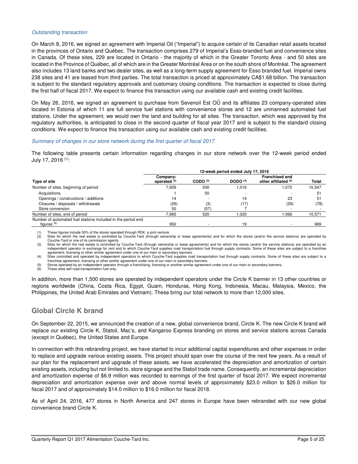#### Outstanding transaction

On March 8, 2016, we signed an agreement with Imperial Oil ("Imperial") to acquire certain of its Canadian retail assets located in the provinces of Ontario and Québec. The transaction comprises 279 of Imperial's Esso-branded fuel and convenience sites in Canada. Of these sites, 229 are located in Ontario - the majority of which in the Greater Toronto Area - and 50 sites are located in the Province of Québec, all of which are in the Greater Montréal Area or on the south shore of Montréal. The agreement also includes 13 land banks and two dealer sites, as well as a long-term supply agreement for Esso branded fuel. Imperial owns 238 sites and 41 are leased from third parties. The total transaction is priced at approximately CA\$1.68 billion. The transaction is subject to the standard regulatory approvals and customary closing conditions. The transaction is expected to close during the first half of fiscal 2017. We expect to finance this transaction using our available cash and existing credit facilities.

On May 26, 2016, we signed an agreement to purchase from Sevenoil Est OÜ and its affiliates 23 company-operated sites located in Estonia of which 11 are full service fuel stations with convenience stores and 12 are unmanned automated fuel stations. Under the agreement, we would own the land and building for all sites. The transaction, which was approved by the regulatory authorities, is anticipated to close in the second quarter of fiscal year 2017 and is subject to the standard closing conditions. We expect to finance this transaction using our available cash and existing credit facilities.

## Summary of changes in our store network during the first quarter of fiscal 2017

The following table presents certain information regarding changes in our store network over the 12-week period ended July 17, 2016 (1):

|                                                              | 12-week period ended July 17, 2016  |                     |            |                                               |        |  |  |
|--------------------------------------------------------------|-------------------------------------|---------------------|------------|-----------------------------------------------|--------|--|--|
| Type of site                                                 | Company-<br>operated <sup>(2)</sup> | CODO <sup>(3)</sup> | DODO $(4)$ | <b>Franchised and</b><br>other affiliated (5) | Total  |  |  |
| Number of sites, beginning of period                         | 7.929                               | 530                 | 1.016      | 1.072                                         | 10.547 |  |  |
| Acquisitions                                                 |                                     | 50                  |            |                                               | 51     |  |  |
| Openings / constructions / additions                         | 14                                  |                     | 14         | 23                                            | 51     |  |  |
| Closures / disposals / withdrawals                           | (29)                                | (3)                 | (17)       | (29)                                          | (78)   |  |  |
| Store conversion                                             | 50                                  | (57)                |            |                                               |        |  |  |
| Number of sites, end of period                               | 7.965                               | 520                 | 1.020      | 1.066                                         | 10,571 |  |  |
| Number of automated fuel stations included in the period end |                                     |                     |            |                                               |        |  |  |
| figures $(6)$                                                | 950                                 |                     | 19         |                                               | 969    |  |  |

(1) These figures include 50% of the stores operated through RDK, a joint venture.<br>(2) Sites for which the real estate is controlled by Couche-Tard (through owner

Sites for which the real estate is controlled by Couche-Tard (through ownership or lease agreements) and for which the stores (and/or the service stations) are operated by Couche-Tard or one of its commission agents.

(3) Sites for which the real estate is controlled by Couche-Tard (through ownership or lease agreements) and for which the stores (and/or the service stations) are operated by an independent operator in exchange for rent and to which Couche-Tard supplies road transportation fuel through supply contracts. Some of these sites are subject to a franchise agreement, licensing or other similar agreement under one of our main or secondary banners.

(4) Sites controlled and operated by independent operators to which Couche-Tard supplies road transportation fuel through supply contracts. Some of these sites are subject to a

franchise agreement, licensing or other similar agreement under one of our main or secondary banners.<br>(5) Stores operated by an independent operator through a franchising, licensing or another similar agreement under one o

These sites sell road transportation fuel only.

In addition, more than 1,500 stores are operated by independent operators under the Circle K banner in 13 other countries or regions worldwide (China, Costa Rica, Egypt, Guam, Honduras, Hong Kong, Indonesia, Macau, Malaysia, Mexico, the Philippines, the United Arab Emirates and Vietnam). These bring our total network to more than 12,000 sites.

# **Global Circle K brand**

On September 22, 2015, we announced the creation of a new, global convenience brand, Circle K. The new Circle K brand will replace our existing Circle K, Statoil, Mac's, and Kangaroo Express branding on stores and service stations across Canada (except in Québec), the United States and Europe.

In connection with this rebranding project, we have started to incur additional capital expenditures and other expenses in order to replace and upgrade various existing assets. This project should span over the course of the next few years. As a result of our plan for the replacement and upgrade of these assets, we have accelerated the depreciation and amortization of certain existing assets, including but not limited to, store signage and the Statoil trade name. Consequently, an incremental depreciation and amortization expense of \$6.9 million was recorded to earnings of the first quarter of fiscal 2017. We expect incremental depreciation and amortization expense over and above normal levels of approximately \$23.0 million to \$26.0 million for fiscal 2017 and of approximately \$14.0 million to \$16.0 million for fiscal 2018.

As of April 24, 2016, 477 stores in North America and 247 stores in Europe have been rebranded with our new global convenience brand Circle K.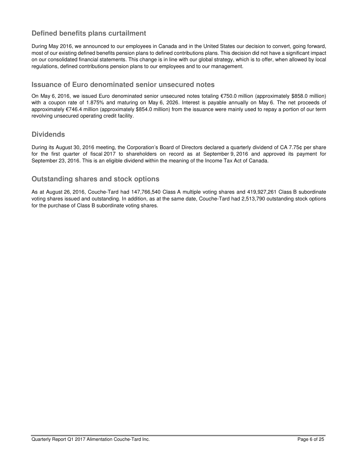# **Defined benefits plans curtailment**

During May 2016, we announced to our employees in Canada and in the United States our decision to convert, going forward, most of our existing defined benefits pension plans to defined contributions plans. This decision did not have a significant impact on our consolidated financial statements. This change is in line with our global strategy, which is to offer, when allowed by local regulations, defined contributions pension plans to our employees and to our management.

## **Issuance of Euro denominated senior unsecured notes**

On May 6, 2016, we issued Euro denominated senior unsecured notes totaling €750.0 million (approximately \$858.0 million) with a coupon rate of 1.875% and maturing on May 6, 2026. Interest is payable annually on May 6. The net proceeds of approximately €746.4 million (approximately \$854.0 million) from the issuance were mainly used to repay a portion of our term revolving unsecured operating credit facility.

# **Dividends**

During its August 30, 2016 meeting, the Corporation's Board of Directors declared a quarterly dividend of CA 7.75¢ per share for the first quarter of fiscal 2017 to shareholders on record as at September 9, 2016 and approved its payment for September 23, 2016. This is an eligible dividend within the meaning of the Income Tax Act of Canada.

# **Outstanding shares and stock options**

As at August 26, 2016, Couche-Tard had 147,766,540 Class A multiple voting shares and 419,927,261 Class B subordinate voting shares issued and outstanding. In addition, as at the same date, Couche-Tard had 2,513,790 outstanding stock options for the purchase of Class B subordinate voting shares.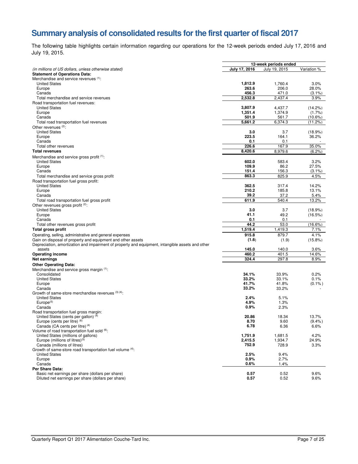# **Summary analysis of consolidated results for the first quarter of fiscal 2017**

The following table highlights certain information regarding our operations for the 12-week periods ended July 17, 2016 and July 19, 2015.

|                                                                                                  | 12-week periods ended |               |                       |
|--------------------------------------------------------------------------------------------------|-----------------------|---------------|-----------------------|
| (in millions of US dollars, unless otherwise stated)                                             | July 17, 2016         | July 19, 2015 | Variation %           |
| <b>Statement of Operations Data:</b>                                                             |                       |               |                       |
| Merchandise and service revenues (1):                                                            |                       |               |                       |
| <b>United States</b>                                                                             | 1,812.9               | 1,760.4       | 3.0%                  |
| Europe                                                                                           | 263.6                 | 206.0         | 28.0%                 |
| Canada                                                                                           | 456.3                 | 471.0         | $(3.1\%)$             |
| Total merchandise and service revenues                                                           | 2,532.8               | 2,437.4       | 3.9%                  |
| Road transportation fuel revenues:<br><b>United States</b>                                       | 3,807.9               | 4,437.7       | $(14.2\%)$            |
| Europe                                                                                           | 1,351.4               | 1,374.9       | (1.7%                 |
| Canada                                                                                           | 501.9                 | 561.7         | $(10.6\%)$            |
| Total road transportation fuel revenues                                                          | 5,661.2               | 6,374.3       | $(11.2\%)$            |
| Other revenues <sup>(2)</sup> :                                                                  |                       |               |                       |
| <b>United States</b>                                                                             | 3.0                   | 3.7           | $(18.9\%)$            |
| Europe                                                                                           | 223.5                 | 164.1         | 36.2%                 |
| Canada                                                                                           | 0.1                   | 0.1           |                       |
| Total other revenues                                                                             | 226.6                 | 167.9         | 35.0%                 |
| <b>Total revenues</b>                                                                            | 8,420.6               | 8,979.6       | (6.2%)                |
| Merchandise and service gross profit (1):                                                        |                       |               |                       |
| <b>United States</b>                                                                             | 602.0                 | 583.4         | 3.2%                  |
| Europe                                                                                           | 109.9                 | 86.2          | 27.5%                 |
| Canada                                                                                           | 151.4                 | 156.3         | $(3.1\%)$             |
| Total merchandise and service gross profit                                                       | 863.3                 | 825.9         | 4.5%                  |
| Road transportation fuel gross profit:                                                           |                       |               |                       |
| <b>United States</b>                                                                             | 362.5                 | 317.4         | 14.2%                 |
| Europe                                                                                           | 210.2                 | 185.8         | 13.1%                 |
| Canada                                                                                           | 39.2                  | 37.2          | 5.4%                  |
| Total road transportation fuel gross profit                                                      | 611.9                 | 540.4         | 13.2%                 |
| Other revenues gross profit (2):                                                                 | 3.0                   |               |                       |
| <b>United States</b>                                                                             | 41.1                  | 3.7<br>49.2   | $(18.9\%)$<br>(16.5%) |
| Europe<br>Canada                                                                                 | 0.1                   | 0.1           |                       |
| Total other revenues gross profit                                                                | 44.2                  | 53.0          | $(16.6\%)$            |
| <b>Total gross profit</b>                                                                        | 1,519.4               | 1,419.3       | 7.1%                  |
| Operating, selling, administrative and general expenses                                          | 915.8                 | 879.7         | 4.1%                  |
| Gain on disposal of property and equipment and other assets                                      | (1.6)                 | (1.9)         | $(15.8\%)$            |
| Depreciation, amortization and impairment of property and equipment, intangible assets and other |                       |               |                       |
| assets                                                                                           | 145.0                 | 140.0         | 3.6%                  |
| <b>Operating income</b>                                                                          | 460.2                 | 401.5         | 14.6%                 |
| Net earnings                                                                                     | 324.4                 | 297.8         | 8.9%                  |
| <b>Other Operating Data:</b>                                                                     |                       |               |                       |
| Merchandise and service gross margin (1):                                                        |                       |               |                       |
| Consolidated                                                                                     | 34.1%                 | 33.9%         | 0.2%                  |
| <b>United States</b>                                                                             | 33.2%                 | 33.1%         | 0.1%                  |
| Europe                                                                                           | 41.7%                 | 41.8%         | $(0.1\%)$             |
| Canada                                                                                           | 33.2%                 | 33.2%         |                       |
| Growth of same-store merchandise revenues (3) (4).                                               |                       |               |                       |
| <b>United States</b>                                                                             | 2.4%                  | 5.1%          |                       |
| Europe <sup>(5)</sup><br>Canada                                                                  | 4.9%<br>0.9%          | 1.3%<br>2.3%  |                       |
| Road transportation fuel gross margin:                                                           |                       |               |                       |
| United States (cents per gallon) (4)                                                             | 20.86                 | 18.34         | 13.7%                 |
| Europe (cents per litre) (6)                                                                     | 8.70                  | 9.60          | $(9.4\%)$             |
| Canada (CA cents per litre) <sup>(4)</sup>                                                       | 6.78                  | 6.36          | 6.6%                  |
| Volume of road transportation fuel sold (6):                                                     |                       |               |                       |
| United States (millions of gallons)                                                              | 1,751.9               | 1,681.5       | 4.2%                  |
| Europe (millions of litres) $(5)$                                                                | 2,415.5               | 1,934.7       | 24.9%                 |
| Canada (millions of litres)                                                                      | 752.9                 | 728.9         | 3.3%                  |
| Growth of same-store road transportation fuel volume (4):                                        |                       |               |                       |
| <b>United States</b>                                                                             | 2.5%                  | 9.4%          |                       |
| Europe                                                                                           | 0.9%                  | 2.7%          |                       |
| Canada<br>Per Share Data:                                                                        | 0.6%                  | 1.4%          |                       |
| Basic net earnings per share (dollars per share)                                                 | 0.57                  | 0.52          | 9.6%                  |
| Diluted net earnings per share (dollars per share)                                               | 0.57                  | 0.52          | 9.6%                  |
|                                                                                                  |                       |               |                       |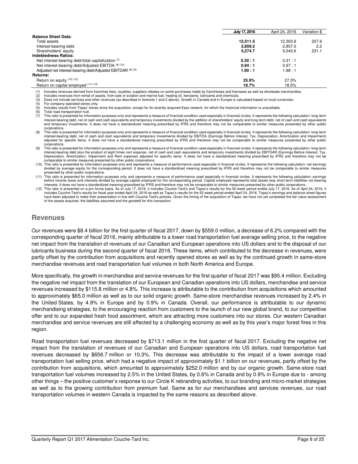|                                                              | July 17, 2016 | April 24, 2016 | Variation \$ |
|--------------------------------------------------------------|---------------|----------------|--------------|
| <b>Balance Sheet Data:</b>                                   |               |                |              |
| Total assets                                                 | 12.511.5      | 12.303.9       | 207.6        |
| Interest-bearing debt                                        | 2.859.2       | 2.857.0        | 2.2          |
| Shareholders' equity                                         | 5,274.7       | 5.043.6        | 231.1        |
| <b>Indebtedness Ratios:</b>                                  |               |                |              |
| Net interest-bearing debt/total capitalization (7)           | 0.30:1        | 0.31 : 1       |              |
| Net interest-bearing debt/Adjusted EBITDA (8) (12)           | 0.94:1        | 0.97:1         |              |
| Adjusted net interest-bearing debt/Adjusted EBITDAR (9) (12) | 1.90 : 1      | 1.98:1         |              |
| <b>Returns:</b>                                              |               |                |              |
| Return on equity (10) (12)                                   | 25.9%         | 27.0%          |              |
| Return on capital employed (11) (12)                         | 18.7%         | 18.5%          |              |

(1) Includes revenues derived from franchise fees, royalties, suppliers rebates on some purchases made by franchisees and licensees as well as wholesale merchandise.

Does not include services and other revenues (as described in footnote 1 and 2 above). Growth in Canada and in Europe is calculated based on local currencies

For company-operated stores only.

(2) Includes revenues from rental of assets, from sale of aviation and marine fuel, heating oil, kerosene, lubricants and chemicals<br>
(3) Does not include services and other revenues (as described in footnote 1 and 2 above Includes results from Topaz' stores since the acquisition, except for its recently acquired Esso network, for which the historical information is unavailable.

Total road transportation fuel.

This ratio is presented for information purposes only and represents a measure of financial condition used especially in financial circles. It represents the following calculation: long-term interest-bearing debt, net of cash and cash equivalents and temporary investments divided by the addition of shareholders' equity and long-term debt, net of cash and cash equivalents<br>and temporary investments. It does not corporations.

(8) This ratio is presented for information purposes only and represents a measure of financial condition used especially in financial circles. It represents the following calculation: long-term interest-bearing debt, net of cash and cash equivalents and temporary investments divided by EBITDA (Earnings Before Interest, Tax, Depreciation, Amortization and Impairment) adjusted for specific items. It does not have a standardized meaning prescribed by IFRS and therefore may not be comparable to similar measures presented by other public corporations.

(9) This ratio is presented for information purposes only and represents a measure of financial condition used especially in financial circles. It represents the following calculation: long-term interest-bearing debt plus the product of eight times rent expense, net of cash and cash equivalents and temporary investments divided by EBITDAR (Earnings Before Interest, Tax,<br>Depreciation, Amortization, Impairment and R comparable to similar measures presented by other public corporations.

(10) This ratio is presented for information purposes only and represents a measure of performance used especially in financial circles. It represents the following calculation: net earnings divided by average equity for the corresponding period. It does not have a standardized meaning prescribed by IFRS and therefore may not be comparable to similar measures presented by other public corporations.

(11) This ratio is presented for information purposes only and represents a measure of performance used especially in financial circles. It represents the following calculation: earnings before income taxes and interests divided by average capital employed for the corresponding period. Capital employed represents total assets less short-term liabilities not bearing<br>interests. It does not have a standardize

(12) This ratio is presented on a pro forma basis. As of July 17, 2016, it includes Couche-Tard's and Topaz's results for the 52-week period ended July 17, 2016. As of April 24, 2016, it includes Couche-Tard's results for fiscal year ended April 24, 2016 as well as Topaz's results for the 52-week period ended April 24, 2016. Topaz's earnings and balance sheet figures have been adjusted to make their presentation in line with Couche-Tard's policies. Given the timing of the acquisition of Topaz, we have not yet completed the fair value assessment of the assets acquired, the liabilities assumed and the goodwill for this transaction.

## **Revenues**

Our revenues were \$8.4 billion for the first quarter of fiscal 2017, down by \$559.0 million, a decrease of 6.2% compared with the corresponding quarter of fiscal 2016, mainly attributable to a lower road transportation fuel average selling price, to the negative net impact from the translation of revenues of our Canadian and European operations into US dollars and to the disposal of our lubricants business during the second quarter of fiscal 2016. These items, which contributed to the decrease in revenues, were partly offset by the contribution from acquisitions and recently opened stores as well as by the continued growth in same-store merchandise revenues and road transportation fuel volumes in both North America and Europe.

More specifically, the growth in merchandise and service revenues for the first quarter of fiscal 2017 was \$95.4 million. Excluding the negative net impact from the translation of our European and Canadian operations into US dollars, merchandise and service revenues increased by \$115.8 million or 4.8%. This increase is attributable to the contribution from acquisitions which amounted to approximately \$65.0 million as well as to our solid organic growth. Same-store merchandise revenues increased by 2.4% in the United States, by 4.9% in Europe and by 0.9% in Canada. Overall, our performance is attributable to our dynamic merchandising strategies, to the encouraging reaction from customers to the launch of our new global brand, to our competitive offer and to our expanded fresh food assortment, which are attracting more customers into our stores. Our western Canadian merchandise and service revenues are still affected by a challenging economy as well as by this year's major forest fires in this region.

Road transportation fuel revenues decreased by \$713.1 million in the first quarter of fiscal 2017. Excluding the negative net impact from the translation of revenues of our Canadian and European operations into US dollars, road transportation fuel revenues decreased by \$656.7 million or 10.3%. This decrease was attributable to the impact of a lower average road transportation fuel selling price, which had a negative impact of approximately \$1.1 billion on our revenues, partly offset by the contribution from acquisitions, which amounted to approximately \$252.0 million and by our organic growth. Same-store road transportation fuel volumes increased by 2.5% in the United States, by 0.6% in Canada and by 0.9% in Europe due to - among other things – the positive customer's response to our Circle K rebranding activities, to our branding and micro-market strategies as well as to the growing contribution from premium fuel. Same as for our merchandises and services revenues, our road transportation volumes in western Canada is impacted by the same reasons as described above.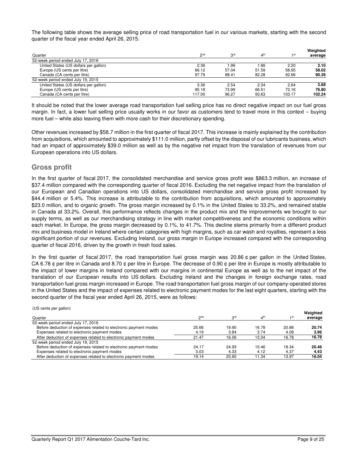The following table shows the average selling price of road transportation fuel in our various markets, starting with the second quarter of the fiscal year ended April 26, 2015:

|                                       |                 |                 |                 |                 | Weighted |
|---------------------------------------|-----------------|-----------------|-----------------|-----------------|----------|
| Quarter                               | 2 <sub>nd</sub> | 3 <sup>rd</sup> | 4 <sup>th</sup> | 1 <sup>st</sup> | average  |
| 52-week period ended July 17, 2016    |                 |                 |                 |                 |          |
| United States (US dollars per gallon) | 2.36            | 1.99            | 1.86            | 2.20            | 2.10     |
| Europe (US cents per litre)           | 66.12           | 57.04           | 51.59           | 58.65           | 58.02    |
| Canada (CA cents per litre)           | 97.79           | 88.41           | 82.28           | 92.66           | 90.39    |
| 52-week period ended July 19, 2015    |                 |                 |                 |                 |          |
| United States (US dollars per gallon) | 3.36            | 2.54            | 2.34            | 2.64            | 2.68     |
| Europe (US cents per litre)           | 95.18           | 73.99           | 66.51           | 72.16           | 76.80    |
| Canada (CA cents per litre)           | 117.00          | 96.27           | 93.63           | 103.17          | 102.24   |

It should be noted that the lower average road transportation fuel selling price has no direct negative impact on our fuel gross margin. In fact, a lower fuel selling price usually works in our favor as customers tend to travel more in this context – buying more fuel – while also leaving them with more cash for their discretionary spending.

Other revenues increased by \$58.7 million in the first quarter of fiscal 2017. This increase is mainly explained by the contribution from acquisitions, which amounted to approximately \$111.0 million, partly offset by the disposal of our lubricants business, which had an impact of approximately \$39.0 million as well as by the negative net impact from the translation of revenues from our European operations into US dollars.

# **Gross profit**

In the first quarter of fiscal 2017, the consolidated merchandise and service gross profit was \$863.3 million, an increase of \$37.4 million compared with the corresponding quarter of fiscal 2016. Excluding the net negative impact from the translation of our European and Canadian operations into US dollars, consolidated merchandise and service gross profit increased by \$44.4 million or 5.4%. This increase is attributable to the contribution from acquisitions, which amounted to approximately \$23.0 million, and to organic growth. The gross margin increased by 0.1% in the United States to 33.2%, and remained stable in Canada at 33.2%. Overall, this performance reflects changes in the product mix and the improvements we brought to our supply terms, as well as our merchandising strategy in line with market competitiveness and the economic conditions within each market. In Europe, the gross margin decreased by 0.1%, to 41.7%. This decline stems primarily from a different product mix and business model in Ireland where certain categories with high margins, such as car wash and royalties, represent a less significant portion of our revenues. Excluding Ireland, our gross margin in Europe increased compared with the corresponding quarter of fiscal 2016, driven by the growth in fresh food sales.

In the first quarter of fiscal 2017, the road transportation fuel gross margin was 20.86 ¢ per gallon in the United States, CA 6.78 ¢ per litre in Canada and 8.70 ¢ per litre in Europe. The decrease of 0.90 ¢ per litre in Europe is mostly attributable to the impact of lower margins in Ireland compared with our margins in continental Europe as well as to the net impact of the translation of our European results into US dollars. Excluding Ireland and the changes in foreign exchange rates, road transportation fuel gross margin increased in Europe. The road transportation fuel gross margin of our company-operated stores in the United States and the impact of expenses related to electronic payment modes for the last eight quarters, starting with the second quarter of the fiscal year ended April 26, 2015, were as follows:

| (US cents per gallon)                                            |       |                 |                   |           |          |
|------------------------------------------------------------------|-------|-----------------|-------------------|-----------|----------|
|                                                                  |       |                 |                   |           | Weighted |
| Quarter                                                          | ond   | 3 <sup>rd</sup> | $A$ <sup>th</sup> | $\vert$ s | average  |
| 52-week period ended July 17, 2016                               |       |                 |                   |           |          |
| Before deduction of expenses related to electronic payment modes | 25.66 | 19.90           | 16.78             | 20.86     | 20.74    |
| Expenses related to electronic payment modes                     | 4.19  | 3.84            | 3.74              | 4.08      | 3.96     |
| After deduction of expenses related to electronic payment modes  | 21.47 | 16.06           | 13.04             | 16.78     | 16.78    |
| 52-week period ended July 19, 2015                               |       |                 |                   |           |          |
| Before deduction of expenses related to electronic payment modes | 24.17 | 24.93           | 15.46             | 18.34     | 20.46    |
| Expenses related to electronic payment modes                     | 5.03  | 4.33            | 4.12              | 4.37      | 4.43     |
| After deduction of expenses related to electronic payment modes  | 19.14 | 20.60           | 11.34             | 13.97     | 16.04    |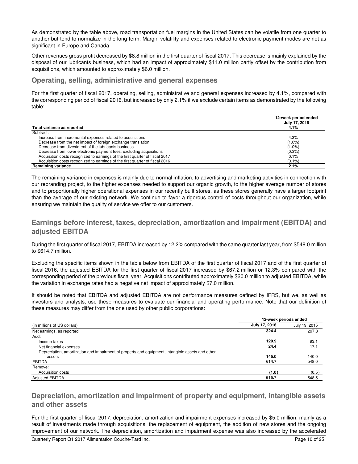As demonstrated by the table above, road transportation fuel margins in the United States can be volatile from one quarter to another but tend to normalize in the long-term. Margin volatility and expenses related to electronic payment modes are not as significant in Europe and Canada.

Other revenues gross profit decreased by \$8.8 million in the first quarter of fiscal 2017. This decrease is mainly explained by the disposal of our lubricants business, which had an impact of approximately \$11.0 million partly offset by the contribution from acquisitions, which amounted to approximately \$6.0 million.

# **Operating, selling, administrative and general expenses**

For the first quarter of fiscal 2017, operating, selling, administrative and general expenses increased by 4.1%, compared with the corresponding period of fiscal 2016, but increased by only 2.1% if we exclude certain items as demonstrated by the following table:

|                                                                              | 12-week period ended<br>July 17, 2016 |
|------------------------------------------------------------------------------|---------------------------------------|
| Total variance as reported                                                   | 4.1%                                  |
| Subtract:                                                                    |                                       |
| Increase from incremental expenses related to acquisitions                   | 4.3%                                  |
| Decrease from the net impact of foreign exchange translation                 | $(1.0\%)$                             |
| Decrease from divestment of the lubricants business                          | $(1.0\%)$                             |
| Decrease from lower electronic payment fees, excluding acquisitions          | $(0.3\%)$                             |
| Acquisition costs recognized to earnings of the first quarter of fiscal 2017 | 0.1%                                  |
| Acquisition costs recognized to earnings of the first quarter of fiscal 2016 | $(0.1\%)$                             |
| Remaining variance                                                           | 2.1%                                  |

The remaining variance in expenses is mainly due to normal inflation, to advertising and marketing activities in connection with our rebranding project, to the higher expenses needed to support our organic growth, to the higher average number of stores and to proportionally higher operational expenses in our recently built stores, as these stores generally have a larger footprint than the average of our existing network. We continue to favor a rigorous control of costs throughout our organization, while ensuring we maintain the quality of service we offer to our customers.

# **Earnings before interest, taxes, depreciation, amortization and impairment (EBITDA) and adjusted EBITDA**

During the first quarter of fiscal 2017, EBITDA increased by 12.2% compared with the same quarter last year, from \$548.0 million to \$614.7 million.

Excluding the specific items shown in the table below from EBITDA of the first quarter of fiscal 2017 and of the first quarter of fiscal 2016, the adjusted EBITDA for the first quarter of fiscal 2017 increased by \$67.2 million or 12.3% compared with the corresponding period of the previous fiscal year. Acquisitions contributed approximately \$20.0 million to adjusted EBITDA, while the variation in exchange rates had a negative net impact of approximately \$7.0 million.

It should be noted that EBITDA and adjusted EBITDA are not performance measures defined by IFRS, but we, as well as investors and analysts, use these measures to evaluate our financial and operating performance. Note that our definition of these measures may differ from the one used by other public corporations:

|                                                                                                  | 12-week periods ended |               |  |
|--------------------------------------------------------------------------------------------------|-----------------------|---------------|--|
| (in millions of US dollars)                                                                      | July 17, 2016         | July 19, 2015 |  |
| Net earnings, as reported                                                                        | 324.4                 | 297.8         |  |
| Add:                                                                                             |                       |               |  |
| Income taxes                                                                                     | 120.9                 | 93.1          |  |
| Net financial expenses                                                                           | 24.4                  | 17.1          |  |
| Depreciation, amortization and impairment of property and equipment, intangible assets and other |                       |               |  |
| assets                                                                                           | 145.0                 | 140.0         |  |
| <b>EBITDA</b>                                                                                    | 614.7                 | 548.0         |  |
| Remove:                                                                                          |                       |               |  |
| Acquisition costs                                                                                | (1.0)                 | (0.5)         |  |
| <b>Adjusted EBITDA</b>                                                                           | 615.7                 | 548.5         |  |

# **Depreciation, amortization and impairment of property and equipment, intangible assets and other assets**

For the first quarter of fiscal 2017, depreciation, amortization and impairment expenses increased by \$5.0 million, mainly as a result of investments made through acquisitions, the replacement of equipment, the addition of new stores and the ongoing improvement of our network. The depreciation, amortization and impairment expense was also increased by the accelerated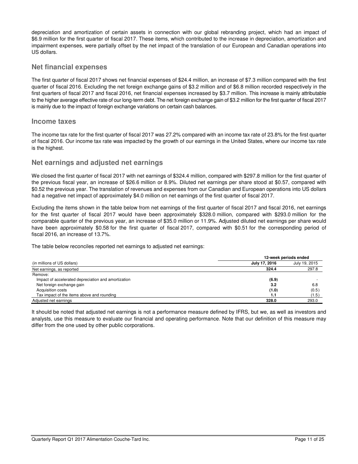depreciation and amortization of certain assets in connection with our global rebranding project, which had an impact of \$6.9 million for the first quarter of fiscal 2017. These items, which contributed to the increase in depreciation, amortization and impairment expenses, were partially offset by the net impact of the translation of our European and Canadian operations into US dollars.

# **Net financial expenses**

The first quarter of fiscal 2017 shows net financial expenses of \$24.4 million, an increase of \$7.3 million compared with the first quarter of fiscal 2016. Excluding the net foreign exchange gains of \$3.2 million and of \$6.8 million recorded respectively in the first quarters of fiscal 2017 and fiscal 2016, net financial expenses increased by \$3.7 million. This increase is mainly attributable to the higher average effective rate of our long-term debt. The net foreign exchange gain of \$3.2 million for the first quarter of fiscal 2017 is mainly due to the impact of foreign exchange variations on certain cash balances.

## **Income taxes**

The income tax rate for the first quarter of fiscal 2017 was 27.2% compared with an income tax rate of 23.8% for the first quarter of fiscal 2016. Our income tax rate was impacted by the growth of our earnings in the United States, where our income tax rate is the highest.

## **Net earnings and adjusted net earnings**

We closed the first quarter of fiscal 2017 with net earnings of \$324.4 million, compared with \$297.8 million for the first quarter of the previous fiscal year, an increase of \$26.6 million or 8.9%. Diluted net earnings per share stood at \$0.57, compared with \$0.52 the previous year. The translation of revenues and expenses from our Canadian and European operations into US dollars had a negative net impact of approximately \$4.0 million on net earnings of the first quarter of fiscal 2017.

Excluding the items shown in the table below from net earnings of the first quarter of fiscal 2017 and fiscal 2016, net earnings for the first quarter of fiscal 2017 would have been approximately \$328.0 million, compared with \$293.0 million for the comparable quarter of the previous year, an increase of \$35.0 million or 11.9%. Adjusted diluted net earnings per share would have been approximately \$0.58 for the first quarter of fiscal 2017, compared with \$0.51 for the corresponding period of fiscal 2016, an increase of 13.7%.

The table below reconciles reported net earnings to adjusted net earnings:

|                                                     | 12-week periods ended |               |  |  |
|-----------------------------------------------------|-----------------------|---------------|--|--|
| (in millions of US dollars)                         | July 17, 2016         | July 19, 2015 |  |  |
| Net earnings, as reported                           | 324.4                 | 297.8         |  |  |
| Remove:                                             |                       |               |  |  |
| Impact of accelerated depreciation and amortization | (6.9)                 |               |  |  |
| Net foreign exchange gain                           | 3.2                   | 6.8           |  |  |
| Acquisition costs                                   | (1.0)                 | (0.5)         |  |  |
| Tax impact of the items above and rounding          | 1.1                   | (1.5)         |  |  |
| Adjusted net earnings                               | 328.0                 | 293.0         |  |  |

It should be noted that adjusted net earnings is not a performance measure defined by IFRS, but we, as well as investors and analysts, use this measure to evaluate our financial and operating performance. Note that our definition of this measure may differ from the one used by other public corporations.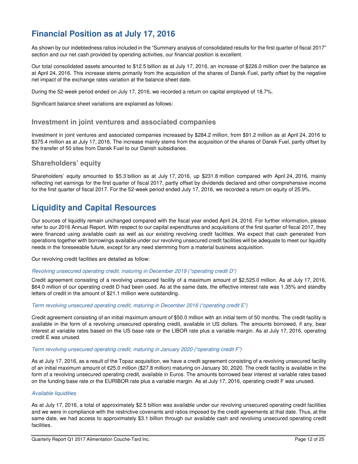# **Financial Position as at July 17, 2016**

As shown by our indebtedness ratios included in the "Summary analysis of consolidated results for the first quarter of fiscal 2017" section and our net cash provided by operating activities, our financial position is excellent.

Our total consolidated assets amounted to \$12.5 billion as at July 17, 2016, an increase of \$226.0 million over the balance as at April 24, 2016. This increase stems primarily from the acquisition of the shares of Dansk Fuel, partly offset by the negative net impact of the exchange rates variation at the balance sheet date.

During the 52-week period ended on July 17, 2016, we recorded a return on capital employed of 18.7%.

Significant balance sheet variations are explained as follows:

## **Investment in joint ventures and associated companies**

Investment in joint ventures and associated companies increased by \$284.2 million, from \$91.2 million as at April 24, 2016 to \$375.4 million as at July 17, 2016. The increase mainly stems from the acquisition of the shares of Dansk Fuel, partly offset by the transfer of 50 sites from Dansk Fuel to our Danish subsidiaries.

## **Shareholders' equity**

Shareholders' equity amounted to \$5.3 billion as at July 17, 2016, up \$231.8 million compared with April 24, 2016, mainly reflecting net earnings for the first quarter of fiscal 2017, partly offset by dividends declared and other comprehensive income for the first quarter of fiscal 2017. For the 52-week period ended July 17, 2016, we recorded a return on equity of 25.9%.

# **Liquidity and Capital Resources**

Our sources of liquidity remain unchanged compared with the fiscal year ended April 24, 2016. For further information, please refer to our 2016 Annual Report. With respect to our capital expenditures and acquisitions of the first quarter of fiscal 2017, they were financed using available cash as well as our existing revolving credit facilities. We expect that cash generated from operations together with borrowings available under our revolving unsecured credit facilities will be adequate to meet our liquidity needs in the foreseeable future, except for any need stemming from a material business acquisition.

Our revolving credit facilities are detailed as follow:

## Revolving unsecured operating credit, maturing in December 2019 ("operating credit D")

Credit agreement consisting of a revolving unsecured facility of a maximum amount of \$2,525.0 million. As at July 17, 2016, \$64.0 million of our operating credit D had been used. As at the same date, the effective interest rate was 1.35% and standby letters of credit in the amount of \$21.1 million were outstanding.

## Term revolving unsecured operating credit, maturing in December 2016 ("operating credit E")

Credit agreement consisting of an initial maximum amount of \$50.0 million with an initial term of 50 months. The credit facility is available in the form of a revolving unsecured operating credit, available in US dollars. The amounts borrowed, if any, bear interest at variable rates based on the US base rate or the LIBOR rate plus a variable margin. As at July 17, 2016, operating credit E was unused.

## Term revolving unsecured operating credit, maturing in January 2020 ("operating credit F")

As at July 17, 2016, as a result of the Topaz acquisition, we have a credit agreement consisting of a revolving unsecured facility of an initial maximum amount of €25.0 million (\$27.8 million) maturing on January 30, 2020. The credit facility is available in the form of a revolving unsecured operating credit, available in Euros. The amounts borrowed bear interest at variable rates based on the funding base rate or the EURIBOR rate plus a variable margin. As at July 17, 2016, operating credit F was unused.

## Available liquidities

As at July 17, 2016, a total of approximately \$2.5 billion was available under our revolving unsecured operating credit facilities and we were in compliance with the restrictive covenants and ratios imposed by the credit agreements at that date. Thus, at the same date, we had access to approximately \$3.1 billion through our available cash and revolving unsecured operating credit facilities.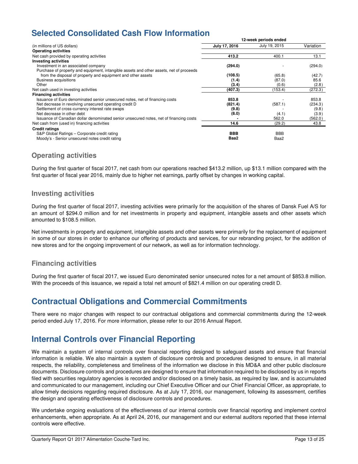# **Selected Consolidated Cash Flow Information**

|                                                                                         | 12-week periods ended |               |           |  |  |
|-----------------------------------------------------------------------------------------|-----------------------|---------------|-----------|--|--|
| (in millions of US dollars)                                                             | July 17, 2016         | July 19, 2015 | Variation |  |  |
| <b>Operating activities</b>                                                             |                       |               |           |  |  |
| Net cash provided by operating activities                                               | 413.2                 | 400.1         | 13.1      |  |  |
| <b>Investing activities</b>                                                             |                       |               |           |  |  |
| Investment in an associated company                                                     | (294.0)               |               | (294.0)   |  |  |
| Purchase of property and equipment, intangible assets and other assets, net of proceeds |                       |               |           |  |  |
| from the disposal of property and equipment and other assets                            | (108.5)               | (65.8)        | (42.7)    |  |  |
| <b>Business acquisitions</b>                                                            | (1.4)                 | (87.0)        | 85.6      |  |  |
| Other                                                                                   | (3.4)                 | (0.6)         | (2.8)     |  |  |
| Net cash used in investing activities                                                   | (407.3)               | (153.4)       | (272.3)   |  |  |
| <b>Financing activities</b>                                                             |                       |               |           |  |  |
| Issuance of Euro denominated senior unsecured notes, net of financing costs             | 853.8                 |               | 853.8     |  |  |
| Net decrease in revolving unsecured operating credit D                                  | (821.4)               | (587.1)       | (234.3)   |  |  |
| Settlement of cross-currency interest rate swaps                                        | (9.8)                 |               | (9.8)     |  |  |
| Net decrease in other debt                                                              | (8.0)                 | (4.1)         | (3.9)     |  |  |
| Issuance of Canadian dollar denominated senior unsecured notes, net of financing costs  |                       | 562.0         | (562.0)   |  |  |
| Net cash from (used in) financing activities                                            | 14.6                  | (29.2)        | 43.8      |  |  |
| <b>Credit ratings</b>                                                                   |                       |               |           |  |  |
| S&P Global Ratings - Corporate credit rating                                            | <b>BBB</b>            | <b>BBB</b>    |           |  |  |
| Moody's - Senior unsecured notes credit rating                                          | Baa2                  | Baa2          |           |  |  |

# **Operating activities**

During the first quarter of fiscal 2017, net cash from our operations reached \$413.2 million, up \$13.1 million compared with the first quarter of fiscal year 2016, mainly due to higher net earnings, partly offset by changes in working capital.

## **Investing activities**

During the first quarter of fiscal 2017, investing activities were primarily for the acquisition of the shares of Dansk Fuel A/S for an amount of \$294.0 million and for net investments in property and equipment, intangible assets and other assets which amounted to \$108.5 million.

Net investments in property and equipment, intangible assets and other assets were primarily for the replacement of equipment in some of our stores in order to enhance our offering of products and services, for our rebranding project, for the addition of new stores and for the ongoing improvement of our network, as well as for information technology.

# **Financing activities**

During the first quarter of fiscal 2017, we issued Euro denominated senior unsecured notes for a net amount of \$853.8 million. With the proceeds of this issuance, we repaid a total net amount of \$821.4 million on our operating credit D.

# **Contractual Obligations and Commercial Commitments**

There were no major changes with respect to our contractual obligations and commercial commitments during the 12-week period ended July 17, 2016. For more information, please refer to our 2016 Annual Report.

# **Internal Controls over Financial Reporting**

We maintain a system of internal controls over financial reporting designed to safeguard assets and ensure that financial information is reliable. We also maintain a system of disclosure controls and procedures designed to ensure, in all material respects, the reliability, completeness and timeliness of the information we disclose in this MD&A and other public disclosure documents. Disclosure controls and procedures are designed to ensure that information required to be disclosed by us in reports filed with securities regulatory agencies is recorded and/or disclosed on a timely basis, as required by law, and is accumulated and communicated to our management, including our Chief Executive Officer and our Chief Financial Officer, as appropriate, to allow timely decisions regarding required disclosure. As at July 17, 2016, our management, following its assessment, certifies the design and operating effectiveness of disclosure controls and procedures.

We undertake ongoing evaluations of the effectiveness of our internal controls over financial reporting and implement control enhancements, when appropriate. As at April 24, 2016, our management and our external auditors reported that these internal controls were effective.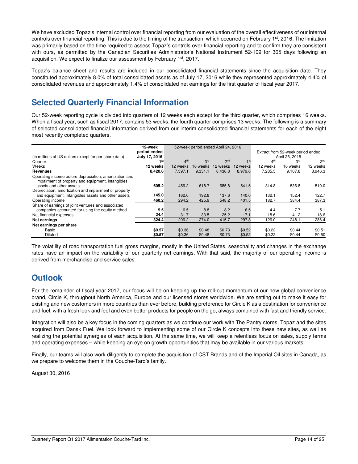We have excluded Topaz's internal control over financial reporting from our evaluation of the overall effectiveness of our internal controls over financial reporting. This is due to the timing of the transaction, which occurred on February 1<sup>st</sup>, 2016. The limitation was primarily based on the time required to assess Topaz's controls over financial reporting and to confirm they are consistent with ours, as permitted by the Canadian Securities Administrator's National Instrument 52-109 for 365 days following an acquisition. We expect to finalize our assessment by February 1<sup>st</sup>, 2017.

Topaz's balance sheet and results are included in our consolidated financial statements since the acquisition date. They constituted approximately 8.0% of total consolidated assets as of July 17, 2016 while they represented approximately 4.4% of consolidated revenues and approximately 1.4% of consolidated net earnings for the first quarter of fiscal year 2017.

# **Selected Quarterly Financial Information**

Our 52-week reporting cycle is divided into quarters of 12 weeks each except for the third quarter, which comprises 16 weeks. When a fiscal year, such as fiscal 2017, contains 53 weeks, the fourth quarter comprises 13 weeks. The following is a summary of selected consolidated financial information derived from our interim consolidated financial statements for each of the eight most recently completed quarters.

|                                                                                                                                        | 12-week       | 52-week period ended April 24, 2016 |                 |                 |                                   |                 |                 |                 |
|----------------------------------------------------------------------------------------------------------------------------------------|---------------|-------------------------------------|-----------------|-----------------|-----------------------------------|-----------------|-----------------|-----------------|
|                                                                                                                                        | period ended  |                                     |                 |                 | Extract from 52-week period ended |                 |                 |                 |
| (in millions of US dollars except for per share data)                                                                                  | July 17, 2016 |                                     |                 |                 |                                   |                 | April 26, 2015  |                 |
| Quarter                                                                                                                                | 1st           | 4 <sup>th</sup>                     | 3 <sup>rd</sup> | 2 <sub>nd</sub> |                                   | 4 <sup>th</sup> | 3 <sup>rd</sup> | 2 <sub>nd</sub> |
| Weeks                                                                                                                                  | 12 weeks      | 12 weeks                            | 16 weeks        | 12 weeks        | 12 weeks                          | 12 weeks        | 16 weeks        | 12 weeks        |
| <b>Revenues</b>                                                                                                                        | 8.420.6       | 7.397.1                             | 9,331.1         | 8.436.8         | 8.979.6                           | 7,285.5         | 9,107.8         | 8,946.3         |
| Operating income before depreciation, amortization and<br>impairment of property and equipment, intangibles<br>assets and other assets | 605.2         | 456.2                               | 618.7           | 685.8           | 541.5                             | 314.8           | 536.8           | 510.0           |
| Depreciation, amortization and impairment of property<br>and equipment, intangibles assets and other assets                            | 145.0         | 162.0                               | 192.8           | 137.6           | 140.0                             | 132.1           | 152.4           | 122.7           |
| Operating income                                                                                                                       | 460.2         | 294.2                               | 425.9           | 548.2           | 401.5                             | 182.7           | 384.4           | 387.3           |
| Share of earnings of joint ventures and associated<br>companies accounted for using the equity method<br>Net financial expenses        | 9.5<br>24.4   | 6.5<br>31.7                         | 8.8<br>33.5     | 8.2<br>25.2     | 6.5<br>17.1                       | 4.4<br>15.6     | 7.7<br>41.2     | 5.1<br>18.6     |
| Net earnings                                                                                                                           | 324.4         | 206.2                               | 274.0           | 415.7           | 297.8                             | 126.0           | 248.1           | 286.4           |
| Net earnings per share                                                                                                                 |               |                                     |                 |                 |                                   |                 |                 |                 |
| Basic                                                                                                                                  | \$0.57        | \$0.36                              | \$0.48          | \$0.73          | \$0.52                            | \$0.22          | \$0.44          | \$0.51          |
| Diluted                                                                                                                                | \$0.57        | \$0.36                              | \$0.48          | \$0.73          | \$0.52                            | \$0.22          | \$0.44          | \$0.50          |

The volatility of road transportation fuel gross margins, mostly in the United States, seasonality and changes in the exchange rates have an impact on the variability of our quarterly net earnings. With that said, the majority of our operating income is derived from merchandise and service sales.

# **Outlook**

For the remainder of fiscal year 2017, our focus will be on keeping up the roll-out momentum of our new global convenience brand, Circle K, throughout North America, Europe and our licensed stores worldwide. We are setting out to make it easy for existing and new customers in more countries than ever before, building preference for Circle K as a destination for convenience and fuel, with a fresh look and feel and even better products for people on the go, always combined with fast and friendly service.

Integration will also be a key focus in the coming quarters as we continue our work with The Pantry stores, Topaz and the sites acquired from Dansk Fuel. We look forward to implementing some of our Circle K concepts into these new sites, as well as realizing the potential synergies of each acquisition. At the same time, we will keep a relentless focus on sales, supply terms and operating expenses – while keeping an eye on growth opportunities that may be available in our various markets.

Finally, our teams will also work diligently to complete the acquisition of CST Brands and of the Imperial Oil sites in Canada, as we prepare to welcome them in the Couche-Tard's family.

August 30, 2016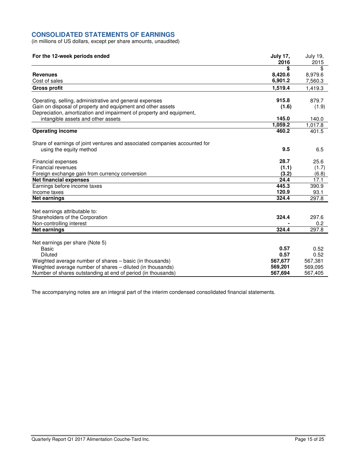## **CONSOLIDATED STATEMENTS OF EARNINGS**

(in millions of US dollars, except per share amounts, unaudited)

| For the 12-week periods ended                                              | <b>July 17,</b> | <b>July 19,</b> |
|----------------------------------------------------------------------------|-----------------|-----------------|
|                                                                            | 2016<br>\$      | 2015<br>\$      |
| <b>Revenues</b>                                                            | 8,420.6         | 8,979.6         |
| Cost of sales                                                              | 6,901.2         | 7,560.3         |
| Gross profit                                                               | 1,519.4         | 1,419.3         |
|                                                                            |                 |                 |
| Operating, selling, administrative and general expenses                    | 915.8           | 879.7           |
| Gain on disposal of property and equipment and other assets                | (1.6)           | (1.9)           |
| Depreciation, amortization and impairment of property and equipment,       |                 |                 |
| intangible assets and other assets                                         | 145.0           | 140.0           |
|                                                                            | 1,059.2         | 1,017.8         |
| <b>Operating income</b>                                                    | 460.2           | 401.5           |
|                                                                            |                 |                 |
| Share of earnings of joint ventures and associated companies accounted for |                 |                 |
| using the equity method                                                    | 9.5             | 6.5             |
|                                                                            |                 |                 |
| <b>Financial expenses</b>                                                  | 28.7            | 25.6            |
| Financial revenues                                                         | (1.1)           | (1.7)           |
| Foreign exchange gain from currency conversion                             | (3.2)           | (6.8)           |
| <b>Net financial expenses</b>                                              | 24.4            | 17.1            |
| Earnings before income taxes                                               | 445.3           | 390.9           |
| Income taxes                                                               | 120.9           | 93.1            |
| <b>Net earnings</b>                                                        | 324.4           | 297.8           |
|                                                                            |                 |                 |
| Net earnings attributable to:                                              |                 |                 |
| Shareholders of the Corporation                                            | 324.4           | 297.6           |
| Non-controlling interest                                                   |                 | 0.2             |
| <b>Net earnings</b>                                                        | 324.4           | 297.8           |
|                                                                            |                 |                 |
| Net earnings per share (Note 5)                                            |                 |                 |
| Basic                                                                      | 0.57            | 0.52            |
| <b>Diluted</b>                                                             | 0.57            | 0.52            |
| Weighted average number of shares – basic (in thousands)                   | 567,677         | 567,381         |
| Weighted average number of shares – diluted (in thousands)                 | 569,201         | 569,095         |
| Number of shares outstanding at end of period (in thousands)               | 567,694         | 567,405         |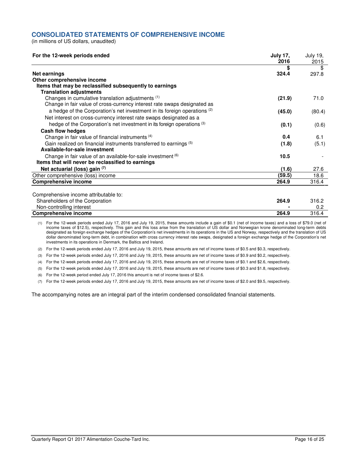## **CONSOLIDATED STATEMENTS OF COMPREHENSIVE INCOME**

(in millions of US dollars, unaudited)

| For the 12-week periods ended                                                      | <b>July 17.</b><br>2016 | July 19.<br>2015 |
|------------------------------------------------------------------------------------|-------------------------|------------------|
|                                                                                    | \$                      | \$               |
| Net earnings                                                                       | 324.4                   | 297.8            |
| Other comprehensive income                                                         |                         |                  |
| Items that may be reclassified subsequently to earnings                            |                         |                  |
| <b>Translation adjustments</b>                                                     |                         |                  |
| Changes in cumulative translation adjustments (1)                                  | (21.9)                  | 71.0             |
| Change in fair value of cross-currency interest rate swaps designated as           |                         |                  |
| a hedge of the Corporation's net investment in its foreign operations $(2)$        | (45.0)                  | (80.4)           |
| Net interest on cross-currency interest rate swaps designated as a                 |                         |                  |
| hedge of the Corporation's net investment in its foreign operations <sup>(3)</sup> | (0.1)                   | (0.6)            |
| <b>Cash flow hedges</b>                                                            |                         |                  |
| Change in fair value of financial instruments (4)                                  | 0.4                     | 6.1              |
| Gain realized on financial instruments transferred to earnings (5)                 | (1.8)                   | (5.1)            |
| Available-for-sale investment                                                      |                         |                  |
| Change in fair value of an available-for-sale investment (6)                       | 10.5                    |                  |
| Items that will never be reclassified to earnings                                  |                         |                  |
| Net actuarial (loss) gain (7)                                                      | (1.6)                   | 27.6             |
| Other comprehensive (loss) income                                                  | (59.5)                  | 18.6             |
| <b>Comprehensive income</b>                                                        | 264.9                   | 316.4            |
|                                                                                    |                         |                  |

| Comprehensive income attributable to: |       |       |
|---------------------------------------|-------|-------|
| Shareholders of the Corporation       | 264.9 | 316.2 |
| Non-controlling interest              |       |       |
| <b>Comprehensive income</b>           | 264.9 | 316.4 |

(1) For the 12-week periods ended July 17, 2016 and July 19, 2015, these amounts include a gain of \$0.1 (net of income taxes) and a loss of \$79.0 (net of income taxes of \$12.5), respectively. This gain and this loss arise from the translation of US dollar and Norwegian krone denominated long-term debts designated as foreign exchange hedges of the Corporation's net investments in its operations in the US and Norway, respectively and the translation of US dollar denominated long-term debt, in combination with cross currency interest rate swaps, designated a foreign exchange hedge of the Corporation's net investments in its operations in Denmark, the Baltics and Ireland.

(2) For the 12-week periods ended July 17, 2016 and July 19, 2015, these amounts are net of income taxes of \$0.5 and \$0.3, respectively.

(3) For the 12-week periods ended July 17, 2016 and July 19, 2015, these amounts are net of income taxes of \$0.9 and \$0.2, respectively.

(4) For the 12-week periods ended July 17, 2016 and July 19, 2015, these amounts are net of income taxes of \$0.1 and \$2.6, respectively.

(5) For the 12-week periods ended July 17, 2016 and July 19, 2015, these amounts are net of income taxes of \$0.3 and \$1.8, respectively.

(6) For the 12-week period ended July 17, 2016 this amount is net of income taxes of \$2.6.

(7) For the 12-week periods ended July 17, 2016 and July 19, 2015, these amounts are net of income taxes of \$2.0 and \$9.5, respectively.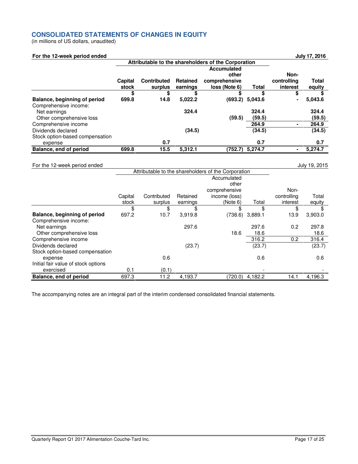## **CONSOLIDATED STATEMENTS OF CHANGES IN EQUITY**

(in millions of US dollars, unaudited)

| For the 12-week period ended    |         |                                                     |                 |               |                 |                | July 17, 2016 |
|---------------------------------|---------|-----------------------------------------------------|-----------------|---------------|-----------------|----------------|---------------|
|                                 |         | Attributable to the shareholders of the Corporation |                 |               |                 |                |               |
|                                 |         |                                                     |                 |               |                 |                |               |
|                                 |         |                                                     |                 | other         |                 | Non-           |               |
|                                 | Capital | Contributed                                         | <b>Retained</b> | comprehensive |                 | controlling    | Total         |
|                                 | stock   | surplus                                             | earnings        | loss (Note 6) | Total           | interest       | equity        |
|                                 | \$      | \$                                                  |                 | \$            | \$              | \$             |               |
| Balance, beginning of period    | 699.8   | 14.8                                                | 5,022.2         | (693.2)       | 5,043.6         | ۰.             | 5,043.6       |
| Comprehensive income:           |         |                                                     |                 |               |                 |                |               |
| Net earnings                    |         |                                                     | 324.4           |               | 324.4           |                | 324.4         |
| Other comprehensive loss        |         |                                                     |                 | (59.5)        | (59.5)          |                | (59.5)        |
| Comprehensive income            |         |                                                     |                 |               | 264.9           | $\blacksquare$ | 264.9         |
| Dividends declared              |         |                                                     | (34.5)          |               | (34.5)          |                | (34.5)        |
| Stock option-based compensation |         |                                                     |                 |               |                 |                |               |
| expense                         |         | 0.7                                                 |                 |               | 0.7             |                | 0.7           |
| Balance, end of period          | 699.8   | 15.5                                                | 5,312.1         |               | (752.7) 5.274.7 |                | 5.274.7       |

For the 12-week period ended July 19, 2015

|                                     | Attributable to the shareholders of the Corporation |                        |                      |                           |         |                         |                 |
|-------------------------------------|-----------------------------------------------------|------------------------|----------------------|---------------------------|---------|-------------------------|-----------------|
|                                     |                                                     |                        |                      | Accumulated               |         |                         |                 |
|                                     |                                                     |                        |                      | other                     |         |                         |                 |
|                                     |                                                     |                        |                      | comprehensive             |         | Non-                    |                 |
|                                     | Capital<br>stock                                    | Contributed<br>surplus | Retained<br>earnings | income (loss)<br>(Note 6) | Total   | controlling<br>interest | Total<br>equity |
|                                     | \$                                                  | \$                     | \$                   | \$                        | \$      | \$                      | \$              |
| Balance, beginning of period        | 697.2                                               | 10.7                   | 3,919.8              | (738.6)                   | 3,889.1 | 13.9                    | 3,903.0         |
| Comprehensive income:               |                                                     |                        |                      |                           |         |                         |                 |
| Net earnings                        |                                                     |                        | 297.6                |                           | 297.6   | 0.2                     | 297.8           |
| Other comprehensive loss            |                                                     |                        |                      | 18.6                      | 18.6    |                         | 18.6            |
| Comprehensive income                |                                                     |                        |                      |                           | 316.2   | 0.2                     | 316.4           |
| Dividends declared                  |                                                     |                        | (23.7)               |                           | (23.7)  |                         | (23.7)          |
| Stock option-based compensation     |                                                     |                        |                      |                           |         |                         |                 |
| expense                             |                                                     | 0.6                    |                      |                           | 0.6     |                         | 0.6             |
| Initial fair value of stock options |                                                     |                        |                      |                           |         |                         |                 |
| exercised                           | 0.1                                                 | (0.1)                  |                      |                           |         |                         |                 |
| Balance, end of period              | 697.3                                               | 11.2                   | 4.193.7              | (720.0)                   | 4,182.2 | 14.1                    | 4,196.3         |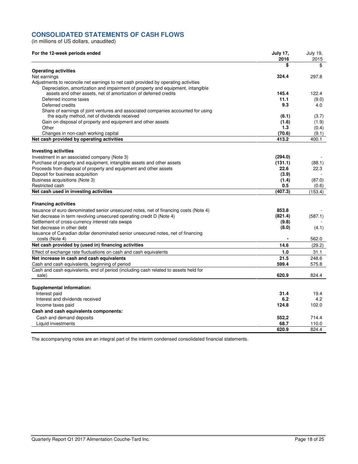## **CONSOLIDATED STATEMENTS OF CASH FLOWS**

(in millions of US dollars, unaudited)

## **For the 12-week periods ended July 17,** July 19,

| <b>I</b> OI the TZ-week perious ended                                                | <b>uuly</b> 17,<br>2016 | July 19,<br>2015 |
|--------------------------------------------------------------------------------------|-------------------------|------------------|
|                                                                                      | \$                      |                  |
| <b>Operating activities</b>                                                          |                         |                  |
| Net earnings                                                                         | 324.4                   | 297.8            |
| Adjustments to reconcile net earnings to net cash provided by operating activities   |                         |                  |
| Depreciation, amortization and impairment of property and equipment, intangible      |                         |                  |
| assets and other assets, net of amortization of deferred credits                     | 145.4                   | 122.4            |
| Deferred income taxes                                                                | 11.1                    | (9.0)            |
| Deferred credits                                                                     | 9.3                     | 4.0              |
| Share of earnings of joint ventures and associated companies accounted for using     |                         |                  |
| the equity method, net of dividends received                                         | (6.1)                   | (3.7)            |
| Gain on disposal of property and equipment and other assets                          | (1.6)                   | (1.9)            |
| Other                                                                                | 1.3                     | (0.4)            |
| Changes in non-cash working capital                                                  | (70.6)                  | (9.1)            |
| Net cash provided by operating activities                                            | 413.2                   | 400.1            |
| <b>Investing activities</b>                                                          |                         |                  |
| Investment in an associated company (Note 3)                                         | (294.0)                 |                  |
| Purchase of property and equipment, intangible assets and other assets               | (131.1)                 | (88.1)           |
| Proceeds from disposal of property and equipment and other assets                    | 22.6                    | 22.3             |
| Deposit for business acquisition                                                     | (3.9)                   |                  |
| Business acquisitions (Note 3)                                                       | (1.4)                   | (87.0)           |
| Restricted cash                                                                      | 0.5                     | (0.6)            |
| Net cash used in investing activities                                                | (407.3)                 | (153.4)          |
|                                                                                      |                         |                  |
| <b>Financing activities</b>                                                          |                         |                  |
| Issuance of euro denominated senior unsecured notes, net of financing costs (Note 4) | 853.8                   |                  |
| Net decrease in term revolving unsecured operating credit D (Note 4)                 | (821.4)                 | (587.1)          |
| Settlement of cross-currency interest rate swaps                                     | (9.8)                   |                  |
| Net decrease in other debt                                                           | (8.0)                   | (4.1)            |
| Issuance of Canadian dollar denominated senior unsecured notes, net of financing     |                         |                  |
| costs (Note 4)<br>Net cash provided by (used in) financing activities                | 14.6                    | 562.0<br>(29.2)  |
| Effect of exchange rate fluctuations on cash and cash equivalents                    | 1.0                     | 31.1             |
| Net increase in cash and cash equivalents                                            | 21.5                    | 248.6            |
| Cash and cash equivalents, beginning of period                                       | 599.4                   | 575.8            |
| Cash and cash equivalents, end of period (including cash related to assets held for  |                         |                  |
| sale)                                                                                | 620.9                   | 824.4            |
|                                                                                      |                         |                  |
| Supplemental information:                                                            |                         |                  |
| Interest paid                                                                        | 31.4                    | 19.4             |
| Interest and dividends received                                                      | 6.2                     | 4.2              |
| Income taxes paid                                                                    | 124.8                   | 102.0            |
| Cash and cash equivalents components:                                                |                         |                  |
| Cash and demand deposits                                                             | 552,2                   | 714.4            |
| Liquid investments                                                                   | 68.7                    | 110.0            |
|                                                                                      | 620.9                   | 824.4            |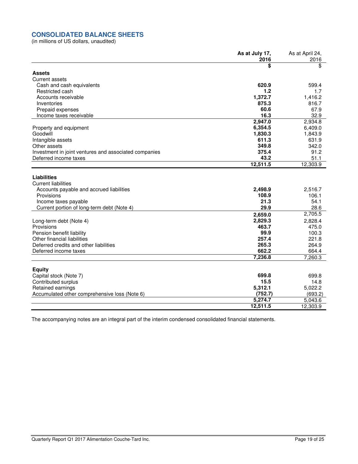# **CONSOLIDATED BALANCE SHEETS**

(in millions of US dollars, unaudited)

|                                                                                              | As at July 17,<br>2016 | As at April 24,<br>2016 |
|----------------------------------------------------------------------------------------------|------------------------|-------------------------|
|                                                                                              | \$                     | \$                      |
| <b>Assets</b>                                                                                |                        |                         |
| <b>Current assets</b>                                                                        |                        |                         |
| Cash and cash equivalents                                                                    | 620.9                  | 599.4                   |
| Restricted cash                                                                              | 1.2                    | 1.7                     |
| Accounts receivable                                                                          | 1,372.7                | 1,416.2                 |
| Inventories                                                                                  | 875.3                  | 816.7                   |
| Prepaid expenses                                                                             | 60.6                   | 67.9                    |
| Income taxes receivable                                                                      | 16.3                   | 32.9                    |
|                                                                                              | 2,947.0                | 2,934.8                 |
| Property and equipment                                                                       | 6,354.5                | 6,409.0                 |
| Goodwill                                                                                     | 1,830.3                | 1,843.9                 |
| Intangible assets                                                                            | 611.3                  | 631.9                   |
| Other assets                                                                                 | 349.8                  | 342.0                   |
| Investment in joint ventures and associated companies                                        | 375.4                  | 91.2                    |
| Deferred income taxes                                                                        | 43.2                   | 51.1                    |
|                                                                                              | 12,511.5               | 12,303.9                |
| <b>Liabilities</b><br><b>Current liabilities</b><br>Accounts payable and accrued liabilities | 2,498.9                | 2,516.7                 |
| Provisions                                                                                   | 108.9                  | 106.1                   |
| Income taxes payable                                                                         | 21.3                   | 54.1                    |
| Current portion of long-term debt (Note 4)                                                   | 29.9                   | 28.6                    |
|                                                                                              | 2,659.0                | 2,705.5                 |
| Long-term debt (Note 4)                                                                      | 2,829.3                | 2,828.4                 |
| Provisions                                                                                   | 463.7                  | 475.0                   |
| Pension benefit liability                                                                    | 99.9                   | 100.3                   |
| Other financial liabilities                                                                  | 257.4                  | 221.8                   |
| Deferred credits and other liabilities                                                       | 265.3                  | 264.9                   |
| Deferred income taxes                                                                        | 662.2                  | 664.4                   |
|                                                                                              | 7,236.8                | 7,260.3                 |
|                                                                                              |                        |                         |
| <b>Equity</b>                                                                                |                        |                         |
| Capital stock (Note 7)                                                                       | 699.8                  | 699.8                   |
| Contributed surplus                                                                          | 15.5                   | 14.8                    |
| Retained earnings                                                                            | 5,312.1                | 5,022.2                 |
| Accumulated other comprehensive loss (Note 6)                                                | (752.7)                | (693.2)                 |
|                                                                                              | 5,274.7                | 5,043.6                 |
|                                                                                              | 12,511.5               | 12,303.9                |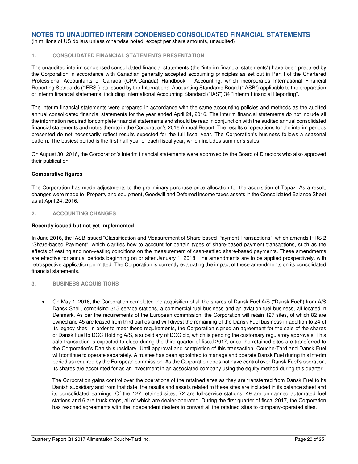(in millions of US dollars unless otherwise noted, except per share amounts, unaudited)

## **1. CONSOLIDATED FINANCIAL STATEMENTS PRESENTATION**

The unaudited interim condensed consolidated financial statements (the "interim financial statements") have been prepared by the Corporation in accordance with Canadian generally accepted accounting principles as set out in Part I of the Chartered Professional Accountants of Canada (CPA Canada) Handbook – Accounting, which incorporates International Financial Reporting Standards ("IFRS"), as issued by the International Accounting Standards Board ("IASB") applicable to the preparation of interim financial statements, including International Accounting Standard ("IAS") 34 "Interim Financial Reporting".

The interim financial statements were prepared in accordance with the same accounting policies and methods as the audited annual consolidated financial statements for the year ended April 24, 2016. The interim financial statements do not include all the information required for complete financial statements and should be read in conjunction with the audited annual consolidated financial statements and notes thereto in the Corporation's 2016 Annual Report. The results of operations for the interim periods presented do not necessarily reflect results expected for the full fiscal year. The Corporation's business follows a seasonal pattern. The busiest period is the first half-year of each fiscal year, which includes summer's sales.

On August 30, 2016, the Corporation's interim financial statements were approved by the Board of Directors who also approved their publication.

## **Comparative figures**

The Corporation has made adjustments to the preliminary purchase price allocation for the acquisition of Topaz. As a result, changes were made to: Property and equipment, Goodwill and Deferred income taxes assets in the Consolidated Balance Sheet as at April 24, 2016.

#### **2. ACCOUNTING CHANGES**

#### **Recently issued but not yet implemented**

In June 2016, the IASB issued "Classification and Measurement of Share-based Payment Transactions", which amends IFRS 2 "Share-based Payment", which clarifies how to account for certain types of share-based payment transactions, such as the effects of vesting and non-vesting conditions on the measurement of cash-settled share-based payments. These amendments are effective for annual periods beginning on or after January 1, 2018. The amendments are to be applied prospectively, with retrospective application permitted. The Corporation is currently evaluating the impact of these amendments on its consolidated financial statements.

## **3. BUSINESS ACQUISITIONS**

• On May 1, 2016, the Corporation completed the acquisition of all the shares of Dansk Fuel A/S ("Dansk Fuel") from A/S Dansk Shell, comprising 315 service stations, a commercial fuel business and an aviation fuel business, all located in Denmark. As per the requirements of the European commission, the Corporation will retain 127 sites, of which 82 are owned and 45 are leased from third parties and will divest the remaining of the Dansk Fuel business in addition to 24 of its legacy sites. In order to meet these requirements, the Corporation signed an agreement for the sale of the shares of Dansk Fuel to DCC Holding A/S, a subsidiary of DCC plc, which is pending the customary regulatory approvals. This sale transaction is expected to close during the third quarter of fiscal 2017, once the retained sites are transferred to the Corporation's Danish subsidiary. Until approval and completion of this transaction, Couche-Tard and Dansk Fuel will continue to operate separately. A trustee has been appointed to manage and operate Dansk Fuel during this interim period as required by the European commission. As the Corporation does not have control over Dansk Fuel's operation, its shares are accounted for as an investment in an associated company using the equity method during this quarter.

The Corporation gains control over the operations of the retained sites as they are transferred from Dansk Fuel to its Danish subsidiary and from that date, the results and assets related to these sites are included in its balance sheet and its consolidated earnings. Of the 127 retained sites, 72 are full-service stations, 49 are unmanned automated fuel stations and 6 are truck stops, all of which are dealer-operated. During the first quarter of fiscal 2017, the Corporation has reached agreements with the independent dealers to convert all the retained sites to company-operated sites.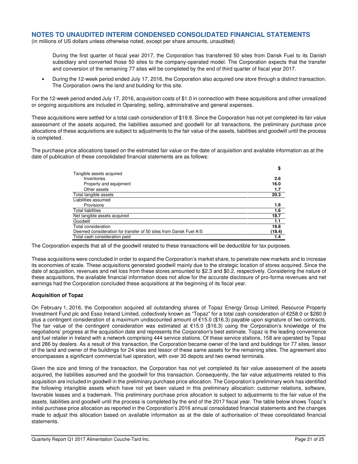(in millions of US dollars unless otherwise noted, except per share amounts, unaudited)

During the first quarter of fiscal year 2017, the Corporation has transferred 50 sites from Dansk Fuel to its Danish subsidiary and converted those 50 sites to the company-operated model. The Corporation expects that the transfer and conversion of the remaining 77 sites will be completed by the end of third quarter of fiscal year 2017.

• During the 12-week period ended July 17, 2016, the Corporation also acquired one store through a distinct transaction. The Corporation owns the land and building for this site.

For the 12-week period ended July 17, 2016, acquisition costs of \$1.0 in connection with these acquisitions and other unrealized or ongoing acquisitions are included in Operating, selling, administrative and general expenses.

These acquisitions were settled for a total cash consideration of \$19.8. Since the Corporation has not yet completed its fair value assessment of the assets acquired, the liabilities assumed and goodwill for all transactions, the preliminary purchase price allocations of these acquisitions are subject to adjustments to the fair value of the assets, liabilities and goodwill until the process is completed.

The purchase price allocations based on the estimated fair value on the date of acquisition and available information as at the date of publication of these consolidated financial statements are as follows:

|                                                                   | \$     |
|-------------------------------------------------------------------|--------|
| Tangible assets acquired                                          |        |
| Inventories                                                       | 2.6    |
| Property and equipment                                            | 16.0   |
| Other assets                                                      | 1.7    |
| Total tangible assets                                             | 20.3   |
| Liabilities assumed                                               |        |
| Provisions                                                        | 1.6    |
| <b>Total liabilities</b>                                          | 1.6    |
| Net tangible assets acquired                                      | 18.7   |
| Goodwill                                                          | 1.1    |
| Total consideration                                               | 19.8   |
| Deemed consideration for transfer of 50 sites from Dansk Fuel A/S | (18.4) |
| Total cash consideration paid                                     | 1.4    |

The Corporation expects that all of the goodwill related to these transactions will be deductible for tax purposes.

These acquisitions were concluded in order to expand the Corporation's market share, to penetrate new markets and to increase its economies of scale. These acquisitions generated goodwill mainly due to the strategic location of stores acquired. Since the date of acquisition, revenues and net loss from these stores amounted to \$2.3 and \$0.2, respectively. Considering the nature of these acquisitions, the available financial information does not allow for the accurate disclosure of pro-forma revenues and net earnings had the Corporation concluded these acquisitions at the beginning of its fiscal year.

## **Acquisition of Topaz**

On February 1, 2016, the Corporation acquired all outstanding shares of Topaz Energy Group Limited, Resource Property Investment Fund plc and Esso Ireland Limited, collectively known as "Topaz" for a total cash consideration of €258.0 or \$280.9 plus a contingent consideration of a maximum undiscounted amount of €15.0 (\$16.3) payable upon signature of two contracts. The fair value of the contingent consideration was estimated at €15.0 (\$16.3) using the Corporation's knowledge of the negotiations' progress at the acquisition date and represents the Corporation's best estimate. Topaz is the leading convenience and fuel retailer in Ireland with a network comprising 444 service stations. Of these service stations, 158 are operated by Topaz and 286 by dealers. As a result of this transaction, the Corporation became owner of the land and buildings for 77 sites, lessor of the land and owner of the buildings for 24 sites and lessor of these same assets for the remaining sites. The agreement also encompasses a significant commercial fuel operation, with over 30 depots and two owned terminals.

Given the size and timing of the transaction, the Corporation has not yet completed its fair value assessment of the assets acquired, the liabilities assumed and the goodwill for this transaction. Consequently, the fair value adjustments related to this acquisition are included in goodwill in the preliminary purchase price allocation. The Corporation's preliminary work has identified the following intangible assets which have not yet been valued in this preliminary allocation: customer relations, software, favorable leases and a trademark. This preliminary purchase price allocation is subject to adjustments to the fair value of the assets, liabilities and goodwill until the process is completed by the end of the 2017 fiscal year. The table below shows Topaz's initial purchase price allocation as reported in the Corporation's 2016 annual consolidated financial statements and the changes made to adjust this allocation based on available information as at the date of authorisation of these consolidated financial statements.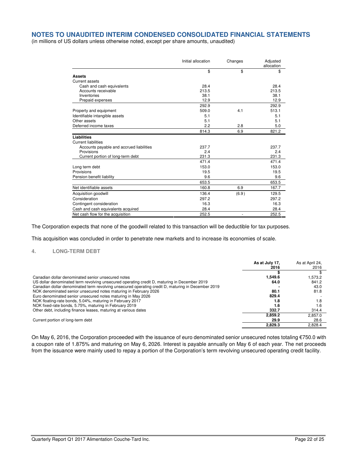(in millions of US dollars unless otherwise noted, except per share amounts, unaudited)

|                                          | Initial allocation | Changes | Adjusted<br>allocation |
|------------------------------------------|--------------------|---------|------------------------|
|                                          | \$                 | \$      | \$                     |
| <b>Assets</b>                            |                    |         |                        |
| <b>Current assets</b>                    |                    |         |                        |
| Cash and cash equivalents                | 28.4               |         | 28.4                   |
| Accounts receivable                      | 213.5              |         | 213.5                  |
| Inventories                              | 38.1               |         | 38.1                   |
| Prepaid expenses                         | 12.9               |         | 12.9                   |
|                                          | 292.9              |         | 292.9                  |
| Property and equipment                   | 509.0              | 4.1     | 513.1                  |
| Identifiable intangible assets           | 5.1                |         | 5.1                    |
| Other assets                             | 5.1                |         | 5.1                    |
| Deferred income taxes                    | 2.2                | 2.8     | 5.0                    |
|                                          | 814.3              | 6.9     | 821.2                  |
| <b>Liabilities</b>                       |                    |         |                        |
| <b>Current liabilities</b>               |                    |         |                        |
| Accounts payable and accrued liabilities | 237.7              |         | 237.7                  |
| Provisions                               | 2.4                |         | 2.4                    |
| Current portion of long-term debt        | 231.3              |         | 231.3                  |
|                                          | 471.4              |         | 471.4                  |
| Long term debt                           | 153.0              |         | 153.0                  |
| Provisions                               | 19.5               |         | 19.5                   |
| Pension benefit liability                | 9.6                |         | 9.6                    |
|                                          | 653.5              |         | 653.5                  |
| Net identifiable assets                  | 160.8              | 6.9     | 167.7                  |
| Acquisition goodwill                     | 136.4              | (6.9)   | 129.5                  |
| Consideration                            | 297.2              |         | 297.2                  |
| Contingent consideration                 | 16.3               |         | 16.3                   |
| Cash and cash equivalents acquired       | 28.4               |         | 28.4                   |
| Net cash flow for the acquisition        | 252.5              |         | 252.5                  |

The Corporation expects that none of the goodwill related to this transaction will be deductible for tax purposes.

This acquisition was concluded in order to penetrate new markets and to increase its economies of scale.

## **4. LONG-TERM DEBT**

|                                                                                                    | As at July 17,<br>2016 | As at April 24,<br>2016 |
|----------------------------------------------------------------------------------------------------|------------------------|-------------------------|
|                                                                                                    |                        |                         |
| Canadian dollar denominated senior unsecured notes                                                 | 1,549.6                | 1.573.2                 |
| US dollar denominated term revolving unsecured operating credit D, maturing in December 2019       | 64.0                   | 841.2                   |
| Canadian dollar denominated term revolving unsecured operating credit D, maturing in December 2019 |                        | 43.0                    |
| NOK denominated senior unsecured notes maturing in February 2026                                   | 80.1                   | 81.8                    |
| Euro denominated senior unsecured notes maturing in May 2026                                       | 829.4                  |                         |
| NOK floating-rate bonds, 5.04%, maturing in February 2017                                          | 1.8                    | 1.8                     |
| NOK fixed-rate bonds, 5.75%, maturing in February 2019                                             | 1.6                    | 1.6                     |
| Other debt, including finance leases, maturing at various dates                                    | 332.7                  | 314.4                   |
|                                                                                                    | 2,859.2                | 2.857.0                 |
| Current portion of long-term debt                                                                  | 29.9                   | 28.6                    |
|                                                                                                    | 2,829.3                | 2.828.4                 |

On May 6, 2016, the Corporation proceeded with the issuance of euro denominated senior unsecured notes totaling  $\epsilon$ 750.0 with a coupon rate of 1.875% and maturing on May 6, 2026. Interest is payable annually on May 6 of each year. The net proceeds from the issuance were mainly used to repay a portion of the Corporation's term revolving unsecured operating credit facility.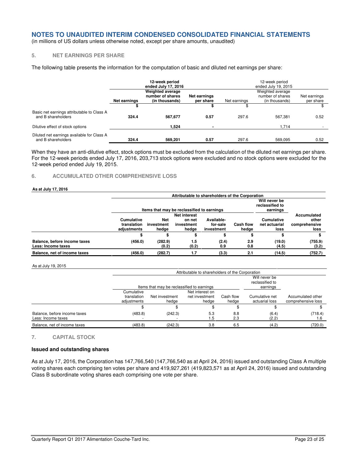(in millions of US dollars unless otherwise noted, except per share amounts, unaudited)

## **5. NET EARNINGS PER SHARE**

The following table presents the information for the computation of basic and diluted net earnings per share:

|                                                                  |              | 12-week period<br>ended July 17, 2016                  |                           |              | 12-week period<br>ended July 19, 2015                  |                           |
|------------------------------------------------------------------|--------------|--------------------------------------------------------|---------------------------|--------------|--------------------------------------------------------|---------------------------|
|                                                                  | Net earnings | Weighted average<br>number of shares<br>(in thousands) | Net earnings<br>per share | Net earnings | Weighted average<br>number of shares<br>(in thousands) | Net earnings<br>per share |
|                                                                  | Þ            |                                                        |                           |              |                                                        |                           |
| Basic net earnings attributable to Class A<br>and B shareholders | 324.4        | 567.677                                                | 0.57                      | 297.6        | 567.381                                                | 0.52                      |
| Dilutive effect of stock options                                 |              | 1.524                                                  |                           |              | 1.714                                                  |                           |
| Diluted net earnings available for Class A<br>and B shareholders | 324.4        | 569.201                                                | 0.57                      | 297.6        | 569.095                                                | 0.52                      |

When they have an anti-dilutive effect, stock options must be excluded from the calculation of the diluted net earnings per share. For the 12-week periods ended July 17, 2016, 203,713 stock options were excluded and no stock options were excluded for the 12-week period ended July 19, 2015.

## **6. ACCUMULATED OTHER COMPREHENSIVE LOSS**

#### **As at July 17, 2016**

|                                                    |                                          | Attributable to shareholders of the Corporation |                                               |                                      |                           |                                     |                                               |  |
|----------------------------------------------------|------------------------------------------|-------------------------------------------------|-----------------------------------------------|--------------------------------------|---------------------------|-------------------------------------|-----------------------------------------------|--|
|                                                    |                                          | Items that may be reclassified to earnings      | Will never be<br>reclassified to<br>earnings  |                                      |                           |                                     |                                               |  |
|                                                    | Cumulative<br>translation<br>adjustments | <b>Net</b><br>investment<br>hedge               | Net interest<br>on net<br>investment<br>hedge | Available-<br>for-sale<br>investment | <b>Cash flow</b><br>hedge | Cumulative<br>net actuarial<br>loss | Accumulated<br>other<br>comprehensive<br>loss |  |
|                                                    |                                          | ъ                                               | ъ                                             |                                      | S                         |                                     |                                               |  |
| Balance, before income taxes<br>Less: Income taxes | (456.0)                                  | (282.9)<br>(0.2)                                | 1.5<br>(0.2)                                  | (2.4)<br>0.9                         | 2.9<br>0.8                | (19.0)<br>(4.5)                     | (755.9)<br>(3.2)                              |  |
| Balance, net of income taxes                       | (456.0)                                  | (282.7)                                         | 1.7                                           | (3.3)                                | 2.1                       | (14.5)                              | (752.7)                                       |  |

#### As at July 19, 2015

|                                                    |                                          | Attributable to shareholders of the Corporation |                                              |                    |                                  |                                         |  |  |  |  |
|----------------------------------------------------|------------------------------------------|-------------------------------------------------|----------------------------------------------|--------------------|----------------------------------|-----------------------------------------|--|--|--|--|
|                                                    |                                          | Items that may be reclassified to earnings      | Will never be<br>reclassified to<br>earnings |                    |                                  |                                         |  |  |  |  |
|                                                    | Cumulative<br>translation<br>adiustments | Net investment<br>hedae                         | Net interest on<br>net investment<br>hedae   | Cash flow<br>hedae | Cumulative net<br>actuarial loss | Accumulated other<br>comprehensive loss |  |  |  |  |
|                                                    |                                          |                                                 |                                              |                    |                                  |                                         |  |  |  |  |
| Balance, before income taxes<br>Less: Income taxes | (483.8)                                  | (242.3)                                         | 5.3<br>.5                                    | 8.8<br>2.3         | (6.4)<br>(2.2)                   | (718.4)<br>1.6                          |  |  |  |  |
| Balance, net of income taxes                       | (483.8)                                  | (242.3)                                         | 3.8                                          | 6.5                | (4.2)                            | (720.0)                                 |  |  |  |  |

## **7. CAPITAL STOCK**

#### **Issued and outstanding shares**

As at July 17, 2016, the Corporation has 147,766,540 (147,766,540 as at April 24, 2016) issued and outstanding Class A multiple voting shares each comprising ten votes per share and 419,927,261 (419,823,571 as at April 24, 2016) issued and outstanding Class B subordinate voting shares each comprising one vote per share.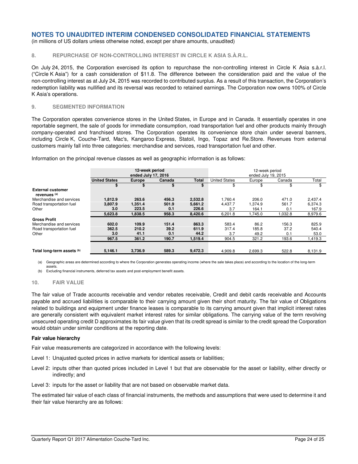(in millions of US dollars unless otherwise noted, except per share amounts, unaudited)

## **8. REPURCHASE OF NON-CONTROLLING INTEREST IN CIRCLE K ASIA S.À.R.L.**

On July 24, 2015, the Corporation exercised its option to repurchase the non-controlling interest in Circle K Asia s.à.r.l. ("Circle K Asia") for a cash consideration of \$11.8. The difference between the consideration paid and the value of the non-controlling interest as at July 24, 2015 was recorded to contributed surplus. As a result of this transaction, the Corporation's redemption liability was nullified and its reversal was recorded to retained earnings. The Corporation now owns 100% of Circle K Asia's operations.

## **9. SEGMENTED INFORMATION**

The Corporation operates convenience stores in the United States, in Europe and in Canada. It essentially operates in one reportable segment, the sale of goods for immediate consumption, road transportation fuel and other products mainly through company-operated and franchised stores. The Corporation operates its convenience store chain under several banners, including Circle K, Couche-Tard, Mac's, Kangaroo Express, Statoil, Ingo, Topaz and Re.Store. Revenues from external customers mainly fall into three categories: merchandise and services, road transportation fuel and other.

|                                          | 12-week period<br>ended July 17, 2016 |         |        |         | 12-week period<br>ended July 19, 2015 |         |         |         |
|------------------------------------------|---------------------------------------|---------|--------|---------|---------------------------------------|---------|---------|---------|
|                                          | <b>United States</b>                  | Europe  | Canada | Total   | <b>United States</b>                  | Europe  | Canada  | Total   |
|                                          | \$                                    | \$      | \$     | \$      | \$                                    | \$      | \$      | \$      |
| <b>External customer</b><br>revenues (a) |                                       |         |        |         |                                       |         |         |         |
| Merchandise and services                 | 1.812.9                               | 263.6   | 456.3  | 2,532.8 | 1.760.4                               | 206.0   | 471.0   | 2.437.4 |
| Road transportation fuel                 | 3.807.9                               | 1,351.4 | 501.9  | 5.661.2 | 4.437.7                               | 1.374.9 | 561.7   | 6.374.3 |
| Other                                    | 3.0                                   | 223.5   | 0.1    | 226.6   | 3.7                                   | 164.1   | 0.1     | 167.9   |
|                                          | 5,623.8                               | 1,838.5 | 958.3  | 8,420.6 | 6,201.8                               | 1.745.0 | 1,032.8 | 8,979.6 |
| <b>Gross Profit</b>                      |                                       |         |        |         |                                       |         |         |         |
| Merchandise and services                 | 602.0                                 | 109.9   | 151.4  | 863.3   | 583.4                                 | 86.2    | 156.3   | 825.9   |
| Road transportation fuel                 | 362.5                                 | 210.2   | 39.2   | 611.9   | 317.4                                 | 185.8   | 37.2    | 540.4   |
| Other                                    | 3.0                                   | 41.1    | 0.1    | 44.2    | 3.7                                   | 49.2    | 0.1     | 53.0    |
|                                          | 967.5                                 | 361.2   | 190.7  | 1.519.4 | 904.5                                 | 321.2   | 193.6   | 1,419.3 |
| Total long-term assets (b)               | 5,146.1                               | 3,736.9 | 589.3  | 9,472.3 | 4,909.8                               | 2,699.3 | 522.8   | 8,131.9 |

Information on the principal revenue classes as well as geographic information is as follows:

(a) Geographic areas are determined according to where the Corporation generates operating income (where the sale takes place) and according to the location of the long-term assets.

(b) Excluding financial instruments, deferred tax assets and post-employment benefit assets.

#### **10. FAIR VALUE**

The fair value of Trade accounts receivable and vendor rebates receivable, Credit and debit cards receivable and Accounts payable and accrued liabilities is comparable to their carrying amount given their short maturity. The fair value of Obligations related to buildings and equipment under finance leases is comparable to its carrying amount given that implicit interest rates are generally consistent with equivalent market interest rates for similar obligations. The carrying value of the term revolving unsecured operating credit D approximates its fair value given that its credit spread is similar to the credit spread the Corporation would obtain under similar conditions at the reporting date.

#### **Fair value hierarchy**

Fair value measurements are categorized in accordance with the following levels:

- Level 1: Unajusted quoted prices in active markets for identical assets or liabilities;
- Level 2: inputs other than quoted prices included in Level 1 but that are observable for the asset or liability, either directly or indirectly; and
- Level 3: inputs for the asset or liability that are not based on observable market data.

The estimated fair value of each class of financial instruments, the methods and assumptions that were used to determine it and their fair value hierarchy are as follows: